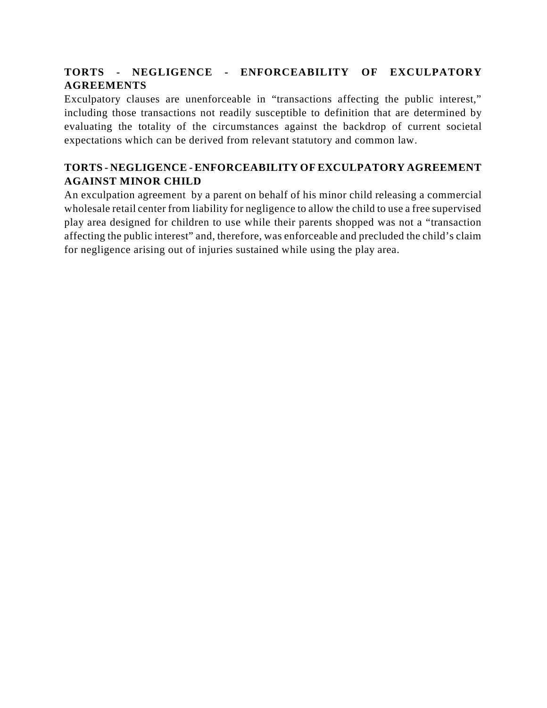# **TORTS - NEGLIGENCE - ENFORCEABILITY OF EXCULPATORY AGREEMENTS**

Exculpatory clauses are unenforceable in "transactions affecting the public interest," including those transactions not readily susceptible to definition that are determined by evaluating the totality of the circumstances against the backdrop of current societal expectations which can be derived from relevant statutory and common law.

# **TORTS - NEGLIGENCE - ENFORCEABILITY OF EXCULPATORY AGREEMENT AGAINST MINOR CHILD**

An exculpation agreement by a parent on behalf of his minor child releasing a commercial wholesale retail center from liability for negligence to allow the child to use a free supervised play area designed for children to use while their parents shopped was not a "transaction affecting the public interest" and, therefore, was enforceable and precluded the child's claim for negligence arising out of injuries sustained while using the play area.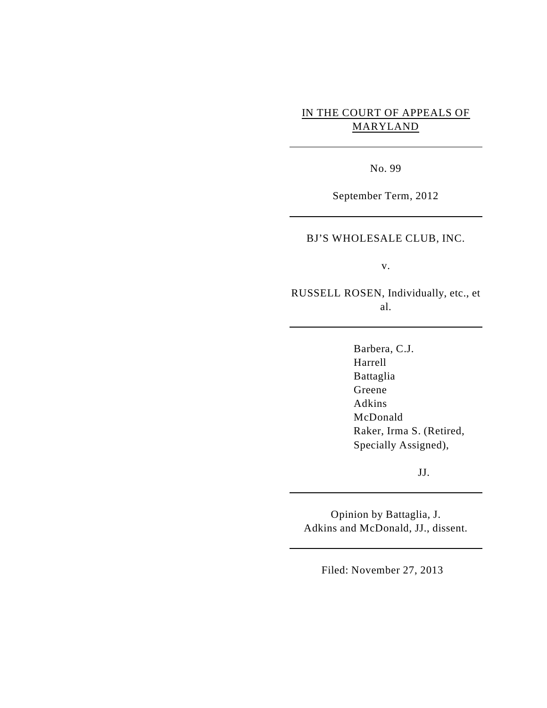## IN THE COURT OF APPEALS OF MARYLAND

No. 99

September Term, 2012

BJ'S WHOLESALE CLUB, INC.

v.

RUSSELL ROSEN, Individually, etc., et al.

> Barbera, C.J. Harrell Battaglia Greene Adkins McDonald Raker, Irma S. (Retired, Specially Assigned),

> > JJ.

Opinion by Battaglia, J. Adkins and McDonald, JJ., dissent.

Filed: November 27, 2013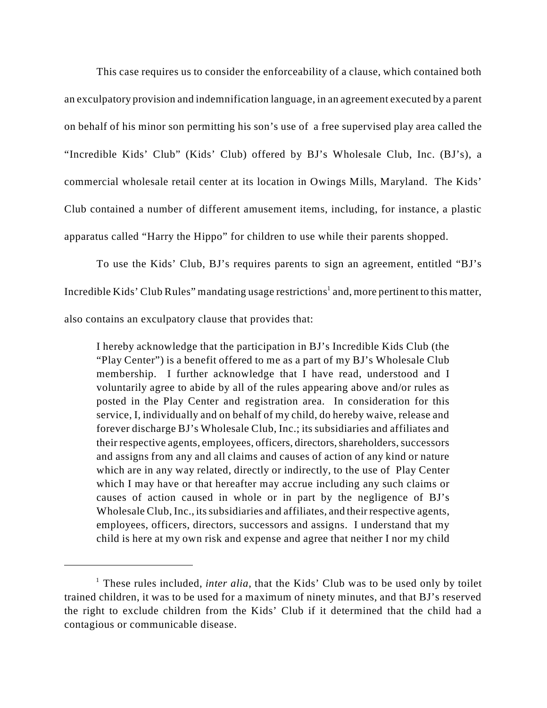This case requires us to consider the enforceability of a clause, which contained both an exculpatory provision and indemnification language, in an agreement executed by a parent on behalf of his minor son permitting his son's use of a free supervised play area called the "Incredible Kids' Club" (Kids' Club) offered by BJ's Wholesale Club, Inc. (BJ's), a commercial wholesale retail center at its location in Owings Mills, Maryland. The Kids' Club contained a number of different amusement items, including, for instance, a plastic apparatus called "Harry the Hippo" for children to use while their parents shopped.

To use the Kids' Club, BJ's requires parents to sign an agreement, entitled "BJ's Incredible Kids' Club Rules" mandating usage restrictions<sup>1</sup> and, more pertinent to this matter, also contains an exculpatory clause that provides that:

I hereby acknowledge that the participation in BJ's Incredible Kids Club (the "Play Center") is a benefit offered to me as a part of my BJ's Wholesale Club membership. I further acknowledge that I have read, understood and I voluntarily agree to abide by all of the rules appearing above and/or rules as posted in the Play Center and registration area. In consideration for this service, I, individually and on behalf of my child, do hereby waive, release and forever discharge BJ's Wholesale Club, Inc.; its subsidiaries and affiliates and their respective agents, employees, officers, directors, shareholders, successors and assigns from any and all claims and causes of action of any kind or nature which are in any way related, directly or indirectly, to the use of Play Center which I may have or that hereafter may accrue including any such claims or causes of action caused in whole or in part by the negligence of BJ's Wholesale Club, Inc., its subsidiaries and affiliates, and their respective agents, employees, officers, directors, successors and assigns. I understand that my child is here at my own risk and expense and agree that neither I nor my child

<sup>&</sup>lt;sup>1</sup> These rules included, *inter alia*, that the Kids' Club was to be used only by toilet trained children, it was to be used for a maximum of ninety minutes, and that BJ's reserved the right to exclude children from the Kids' Club if it determined that the child had a contagious or communicable disease.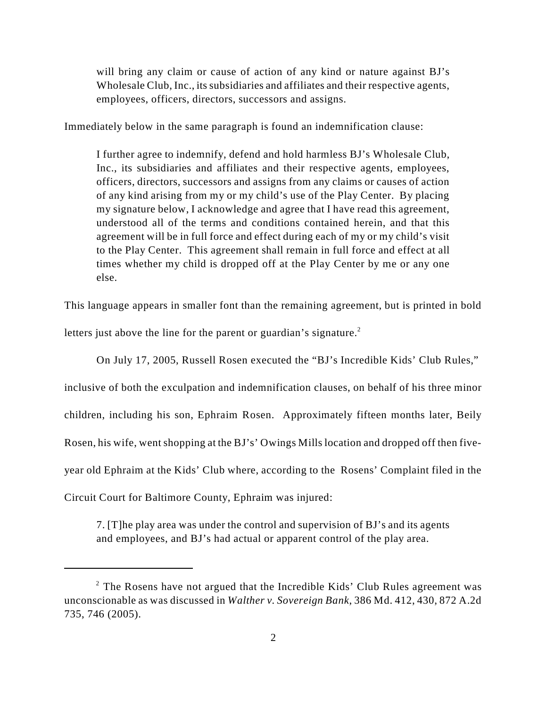will bring any claim or cause of action of any kind or nature against BJ's Wholesale Club, Inc., its subsidiaries and affiliates and their respective agents, employees, officers, directors, successors and assigns.

Immediately below in the same paragraph is found an indemnification clause:

I further agree to indemnify, defend and hold harmless BJ's Wholesale Club, Inc., its subsidiaries and affiliates and their respective agents, employees, officers, directors, successors and assigns from any claims or causes of action of any kind arising from my or my child's use of the Play Center. By placing my signature below, I acknowledge and agree that I have read this agreement, understood all of the terms and conditions contained herein, and that this agreement will be in full force and effect during each of my or my child's visit to the Play Center. This agreement shall remain in full force and effect at all times whether my child is dropped off at the Play Center by me or any one else.

This language appears in smaller font than the remaining agreement, but is printed in bold letters just above the line for the parent or guardian's signature.<sup>2</sup>

On July 17, 2005, Russell Rosen executed the "BJ's Incredible Kids' Club Rules,"

inclusive of both the exculpation and indemnification clauses, on behalf of his three minor children, including his son, Ephraim Rosen. Approximately fifteen months later, Beily Rosen, his wife, went shopping at the BJ's' Owings Mills location and dropped off then fiveyear old Ephraim at the Kids' Club where, according to the Rosens' Complaint filed in the Circuit Court for Baltimore County, Ephraim was injured:

7. [T]he play area was under the control and supervision of BJ's and its agents and employees, and BJ's had actual or apparent control of the play area.

 $2$  The Rosens have not argued that the Incredible Kids' Club Rules agreement was unconscionable as was discussed in *Walther v. Sovereign Bank*, 386 Md. 412, 430, 872 A.2d 735, 746 (2005).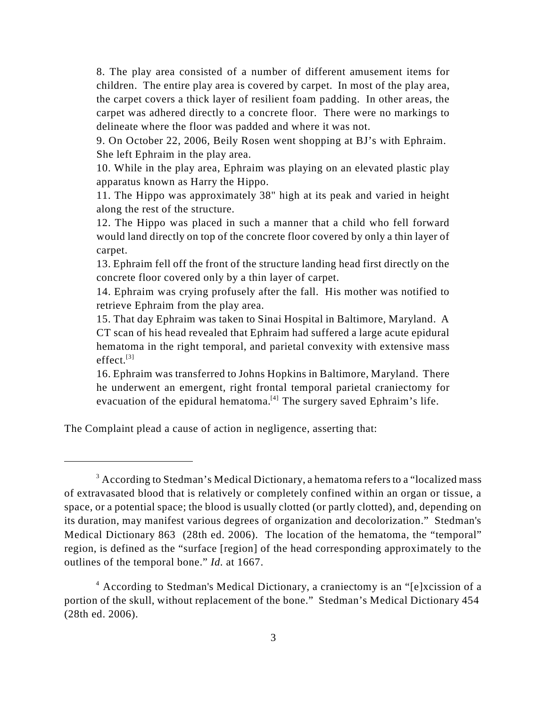8. The play area consisted of a number of different amusement items for children. The entire play area is covered by carpet. In most of the play area, the carpet covers a thick layer of resilient foam padding. In other areas, the carpet was adhered directly to a concrete floor. There were no markings to delineate where the floor was padded and where it was not.

9. On October 22, 2006, Beily Rosen went shopping at BJ's with Ephraim. She left Ephraim in the play area.

10. While in the play area, Ephraim was playing on an elevated plastic play apparatus known as Harry the Hippo.

11. The Hippo was approximately 38" high at its peak and varied in height along the rest of the structure.

12. The Hippo was placed in such a manner that a child who fell forward would land directly on top of the concrete floor covered by only a thin layer of carpet.

13. Ephraim fell off the front of the structure landing head first directly on the concrete floor covered only by a thin layer of carpet.

14. Ephraim was crying profusely after the fall. His mother was notified to retrieve Ephraim from the play area.

15. That day Ephraim was taken to Sinai Hospital in Baltimore, Maryland. A CT scan of his head revealed that Ephraim had suffered a large acute epidural hematoma in the right temporal, and parietal convexity with extensive mass  $effect.$ <sup>[3]</sup>

16. Ephraim was transferred to Johns Hopkins in Baltimore, Maryland. There he underwent an emergent, right frontal temporal parietal craniectomy for evacuation of the epidural hematoma. $^{[4]}$  The surgery saved Ephraim's life.

The Complaint plead a cause of action in negligence, asserting that:

<sup>&</sup>lt;sup>3</sup> According to Stedman's Medical Dictionary, a hematoma refers to a "localized mass of extravasated blood that is relatively or completely confined within an organ or tissue, a space, or a potential space; the blood is usually clotted (or partly clotted), and, depending on its duration, may manifest various degrees of organization and decolorization." Stedman's Medical Dictionary 863 (28th ed. 2006). The location of the hematoma, the "temporal" region, is defined as the "surface [region] of the head corresponding approximately to the outlines of the temporal bone." *Id.* at 1667.

<sup>&</sup>lt;sup>4</sup> According to Stedman's Medical Dictionary, a craniectomy is an "[e]xcission of a portion of the skull, without replacement of the bone." Stedman's Medical Dictionary 454 (28th ed. 2006).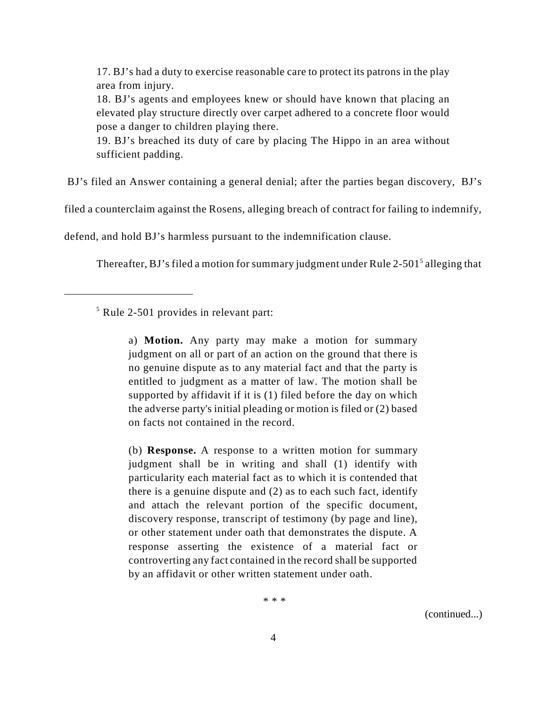17. BJ's had a duty to exercise reasonable care to protect its patrons in the play area from injury.

18. BJ's agents and employees knew or should have known that placing an elevated play structure directly over carpet adhered to a concrete floor would pose a danger to children playing there.

19. BJ's breached its duty of care by placing The Hippo in an area without sufficient padding.

BJ's filed an Answer containing a general denial; after the parties began discovery, BJ's

filed a counterclaim against the Rosens, alleging breach of contract for failing to indemnify,

defend, and hold BJ's harmless pursuant to the indemnification clause.

Thereafter, BJ's filed a motion for summary judgment under Rule  $2-501<sup>5</sup>$  alleging that

 $<sup>5</sup>$  Rule 2-501 provides in relevant part:</sup>

a) **Motion.** Any party may make a motion for summary judgment on all or part of an action on the ground that there is no genuine dispute as to any material fact and that the party is entitled to judgment as a matter of law. The motion shall be supported by affidavit if it is (1) filed before the day on which the adverse party's initial pleading or motion is filed or (2) based on facts not contained in the record.

(b) **Response.** A response to a written motion for summary judgment shall be in writing and shall (1) identify with particularity each material fact as to which it is contended that there is a genuine dispute and (2) as to each such fact, identify and attach the relevant portion of the specific document, discovery response, transcript of testimony (by page and line), or other statement under oath that demonstrates the dispute. A response asserting the existence of a material fact or controverting any fact contained in the record shall be supported by an affidavit or other written statement under oath.

\* \* \*

(continued...)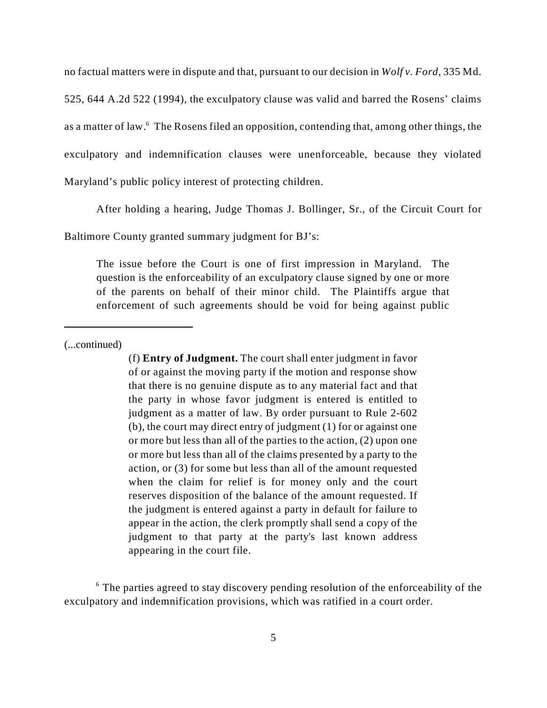no factual matters were in dispute and that, pursuant to our decision in *Wolf v. Ford*, 335 Md.

525, 644 A.2d 522 (1994), the exculpatory clause was valid and barred the Rosens' claims as a matter of law.<sup>6</sup> The Rosens filed an opposition, contending that, among other things, the exculpatory and indemnification clauses were unenforceable, because they violated Maryland's public policy interest of protecting children.

After holding a hearing, Judge Thomas J. Bollinger, Sr., of the Circuit Court for

Baltimore County granted summary judgment for BJ's:

The issue before the Court is one of first impression in Maryland. The question is the enforceability of an exculpatory clause signed by one or more of the parents on behalf of their minor child. The Plaintiffs argue that enforcement of such agreements should be void for being against public

(f) **Entry of Judgment.** The court shall enter judgment in favor of or against the moving party if the motion and response show that there is no genuine dispute as to any material fact and that the party in whose favor judgment is entered is entitled to judgment as a matter of law. By order pursuant to Rule 2-602 (b), the court may direct entry of judgment (1) for or against one or more but less than all of the parties to the action, (2) upon one or more but less than all of the claims presented by a party to the action, or (3) for some but less than all of the amount requested when the claim for relief is for money only and the court reserves disposition of the balance of the amount requested. If the judgment is entered against a party in default for failure to appear in the action, the clerk promptly shall send a copy of the judgment to that party at the party's last known address appearing in the court file.

 $\delta$  The parties agreed to stay discovery pending resolution of the enforceability of the exculpatory and indemnification provisions, which was ratified in a court order.

<sup>(...</sup>continued)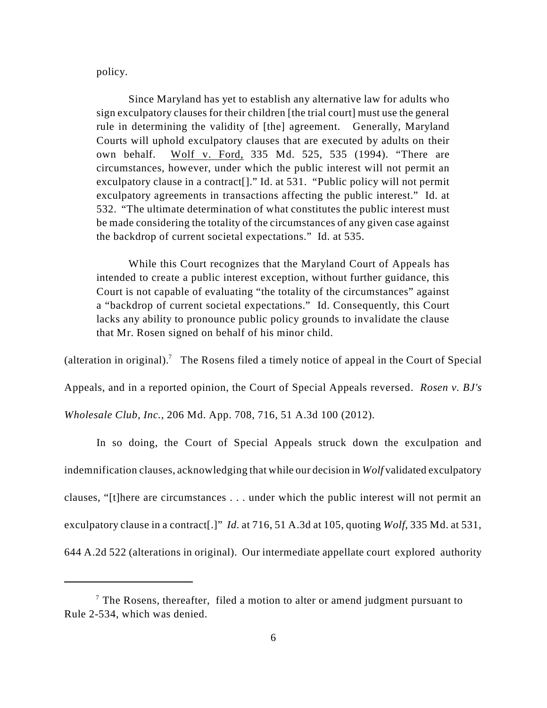policy.

Since Maryland has yet to establish any alternative law for adults who sign exculpatory clauses for their children [the trial court] must use the general rule in determining the validity of [the] agreement. Generally, Maryland Courts will uphold exculpatory clauses that are executed by adults on their own behalf. Wolf v. Ford, 335 Md. 525, 535 (1994). "There are circumstances, however, under which the public interest will not permit an exculpatory clause in a contract[]." Id. at 531. "Public policy will not permit exculpatory agreements in transactions affecting the public interest." Id. at 532. "The ultimate determination of what constitutes the public interest must be made considering the totality of the circumstances of any given case against the backdrop of current societal expectations." Id. at 535.

While this Court recognizes that the Maryland Court of Appeals has intended to create a public interest exception, without further guidance, this Court is not capable of evaluating "the totality of the circumstances" against a "backdrop of current societal expectations." Id. Consequently, this Court lacks any ability to pronounce public policy grounds to invalidate the clause that Mr. Rosen signed on behalf of his minor child.

(alteration in original).<sup>7</sup> The Rosens filed a timely notice of appeal in the Court of Special

Appeals, and in a reported opinion, the Court of Special Appeals reversed. *Rosen v. BJ's*

*Wholesale Club, Inc.*, 206 Md. App. 708, 716, 51 A.3d 100 (2012).

In so doing, the Court of Special Appeals struck down the exculpation and indemnification clauses, acknowledging that while our decision in *Wolf* validated exculpatory clauses, "[t]here are circumstances . . . under which the public interest will not permit an exculpatory clause in a contract[.]" *Id.* at 716, 51 A.3d at 105, quoting *Wolf*, 335 Md. at 531, 644 A.2d 522 (alterations in original). Our intermediate appellate court explored authority

 $\frac{7}{7}$  The Rosens, thereafter, filed a motion to alter or amend judgment pursuant to Rule 2-534, which was denied.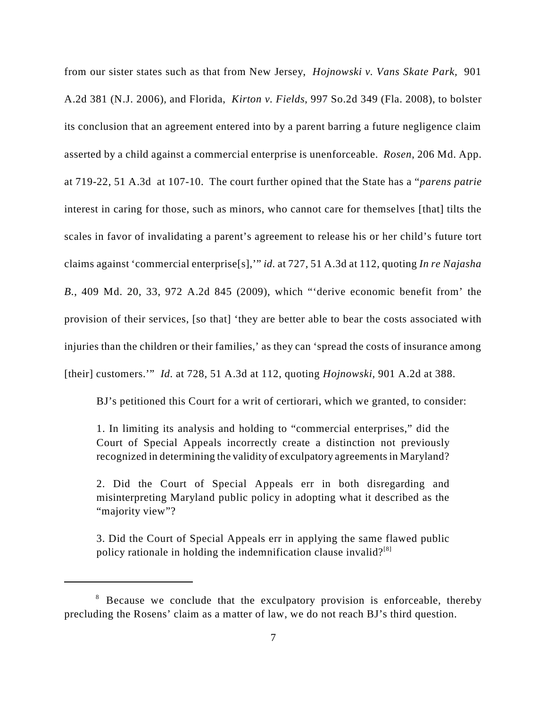from our sister states such as that from New Jersey, *Hojnowski v. Vans Skate Park,* 901 A.2d 381 (N.J. 2006)*,* and Florida, *Kirton v. Fields*, 997 So.2d 349 (Fla. 2008), to bolster its conclusion that an agreement entered into by a parent barring a future negligence claim asserted by a child against a commercial enterprise is unenforceable. *Rosen*, 206 Md. App. at 719-22, 51 A.3d at 107-10. The court further opined that the State has a "*parens patrie* interest in caring for those, such as minors, who cannot care for themselves [that] tilts the scales in favor of invalidating a parent's agreement to release his or her child's future tort claims against 'commercial enterprise[s],'" *id.* at 727, 51 A.3d at 112, quoting *In re Najasha B.*, 409 Md. 20, 33, 972 A.2d 845 (2009), which "'derive economic benefit from' the provision of their services, [so that] 'they are better able to bear the costs associated with injuries than the children or their families,' as they can 'spread the costs of insurance among [their] customers.'" *Id.* at 728, 51 A.3d at 112, quoting *Hojnowski,* 901 A.2d at 388.

BJ's petitioned this Court for a writ of certiorari, which we granted, to consider:

1. In limiting its analysis and holding to "commercial enterprises," did the Court of Special Appeals incorrectly create a distinction not previously recognized in determining the validity of exculpatory agreements in Maryland?

2. Did the Court of Special Appeals err in both disregarding and misinterpreting Maryland public policy in adopting what it described as the "majority view"?

3. Did the Court of Special Appeals err in applying the same flawed public policy rationale in holding the indemnification clause invalid? $[8]$ 

<sup>&</sup>lt;sup>8</sup> Because we conclude that the exculpatory provision is enforceable, thereby precluding the Rosens' claim as a matter of law, we do not reach BJ's third question.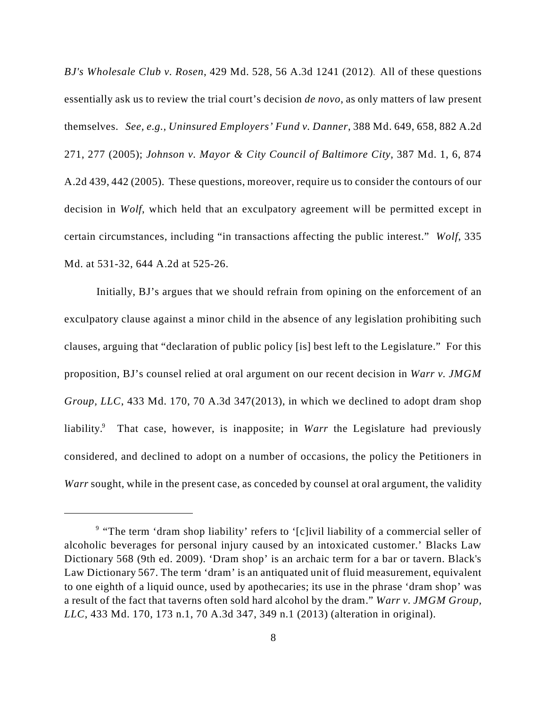*BJ's Wholesale Club v. Rosen*, 429 Md. 528, 56 A.3d 1241 (2012). All of these questions essentially ask us to review the trial court's decision *de novo*, as only matters of law present themselves. *See, e.g.*, *Uninsured Employers' Fund v. Danner*, 388 Md. 649, 658, 882 A.2d 271, 277 (2005); *Johnson v. Mayor & City Council of Baltimore City*, 387 Md. 1, 6, 874 A.2d 439, 442 (2005). These questions, moreover, require us to consider the contours of our decision in *Wolf*, which held that an exculpatory agreement will be permitted except in certain circumstances, including "in transactions affecting the public interest." *Wolf*, 335 Md. at 531-32, 644 A.2d at 525-26.

Initially, BJ's argues that we should refrain from opining on the enforcement of an exculpatory clause against a minor child in the absence of any legislation prohibiting such clauses, arguing that "declaration of public policy [is] best left to the Legislature." For this proposition, BJ's counsel relied at oral argument on our recent decision in *Warr v. JMGM Group, LLC*, 433 Md. 170, 70 A.3d 347(2013), in which we declined to adopt dram shop liability.<sup>9</sup> That case, however, is inapposite; in *Warr* the Legislature had previously considered, and declined to adopt on a number of occasions, the policy the Petitioners in *Warr* sought, while in the present case, as conceded by counsel at oral argument, the validity

<sup>&</sup>lt;sup>9</sup> "The term 'dram shop liability' refers to '[c]ivil liability of a commercial seller of alcoholic beverages for personal injury caused by an intoxicated customer.' Blacks Law Dictionary 568 (9th ed. 2009). 'Dram shop' is an archaic term for a bar or tavern. Black's Law Dictionary 567. The term 'dram' is an antiquated unit of fluid measurement, equivalent to one eighth of a liquid ounce, used by apothecaries; its use in the phrase 'dram shop' was a result of the fact that taverns often sold hard alcohol by the dram." *Warr v. JMGM Group, LLC*, 433 Md. 170, 173 n.1, 70 A.3d 347, 349 n.1 (2013) (alteration in original).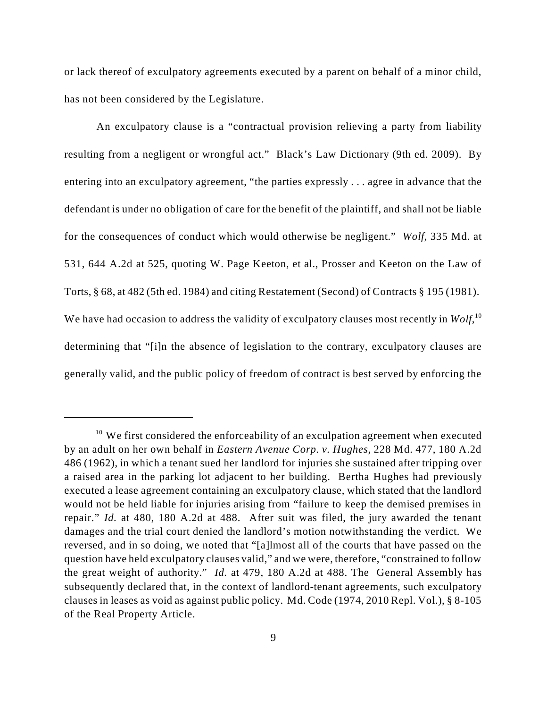or lack thereof of exculpatory agreements executed by a parent on behalf of a minor child, has not been considered by the Legislature.

An exculpatory clause is a "contractual provision relieving a party from liability resulting from a negligent or wrongful act." Black's Law Dictionary (9th ed. 2009). By entering into an exculpatory agreement, "the parties expressly . . . agree in advance that the defendant is under no obligation of care for the benefit of the plaintiff, and shall not be liable for the consequences of conduct which would otherwise be negligent." *Wolf,* 335 Md. at 531, 644 A.2d at 525, quoting W. Page Keeton, et al., Prosser and Keeton on the Law of Torts, § 68, at 482 (5th ed. 1984) and citing Restatement (Second) of Contracts § 195 (1981). We have had occasion to address the validity of exculpatory clauses most recently in  $Wolf_{\cdot}^{10}$ determining that "[i]n the absence of legislation to the contrary, exculpatory clauses are generally valid, and the public policy of freedom of contract is best served by enforcing the

 $10$  We first considered the enforceability of an exculpation agreement when executed by an adult on her own behalf in *Eastern Avenue Corp. v. Hughes*, 228 Md. 477, 180 A.2d 486 (1962), in which a tenant sued her landlord for injuries she sustained after tripping over a raised area in the parking lot adjacent to her building. Bertha Hughes had previously executed a lease agreement containing an exculpatory clause, which stated that the landlord would not be held liable for injuries arising from "failure to keep the demised premises in repair." *Id.* at 480, 180 A.2d at 488. After suit was filed, the jury awarded the tenant damages and the trial court denied the landlord's motion notwithstanding the verdict. We reversed, and in so doing, we noted that "[a]lmost all of the courts that have passed on the question have held exculpatory clauses valid," and we were, therefore, "constrained to follow the great weight of authority." *Id.* at 479, 180 A.2d at 488. The General Assembly has subsequently declared that, in the context of landlord-tenant agreements, such exculpatory clauses in leases as void as against public policy. Md. Code (1974, 2010 Repl. Vol.), § 8-105 of the Real Property Article.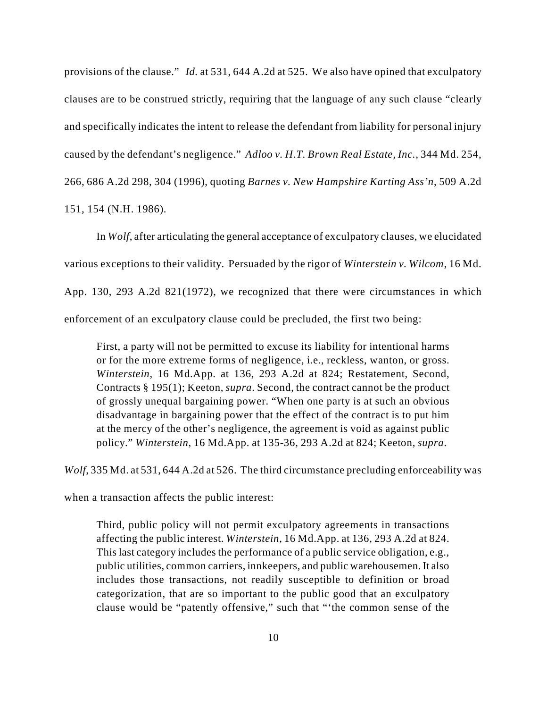provisions of the clause." *Id.* at 531, 644 A.2d at 525. We also have opined that exculpatory clauses are to be construed strictly, requiring that the language of any such clause "clearly and specifically indicates the intent to release the defendant from liability for personal injury caused by the defendant's negligence." *Adloo v. H.T. Brown Real Estate, Inc.*, 344 Md. 254, 266, 686 A.2d 298, 304 (1996), quoting *Barnes v. New Hampshire Karting Ass'n*, 509 A.2d 151, 154 (N.H. 1986).

In *Wolf*, after articulating the general acceptance of exculpatory clauses, we elucidated various exceptions to their validity. Persuaded by the rigor of *Winterstein v. Wilcom*, 16 Md. App. 130, 293 A.2d 821(1972), we recognized that there were circumstances in which enforcement of an exculpatory clause could be precluded, the first two being:

First, a party will not be permitted to excuse its liability for intentional harms or for the more extreme forms of negligence, i.e., reckless, wanton, or gross. *Winterstein*, 16 Md.App. at 136, 293 A.2d at 824; Restatement, Second, Contracts § 195(1); Keeton, *supra*. Second, the contract cannot be the product of grossly unequal bargaining power. "When one party is at such an obvious disadvantage in bargaining power that the effect of the contract is to put him at the mercy of the other's negligence, the agreement is void as against public policy." *Winterstein*, 16 Md.App. at 135-36, 293 A.2d at 824; Keeton, *supra*.

*Wolf*, 335 Md. at 531, 644 A.2d at 526. The third circumstance precluding enforceability was

when a transaction affects the public interest:

Third, public policy will not permit exculpatory agreements in transactions affecting the public interest. *Winterstein*, 16 Md.App. at 136, 293 A.2d at 824. This last category includes the performance of a public service obligation, e.g., public utilities, common carriers, innkeepers, and public warehousemen. It also includes those transactions, not readily susceptible to definition or broad categorization, that are so important to the public good that an exculpatory clause would be "patently offensive," such that "'the common sense of the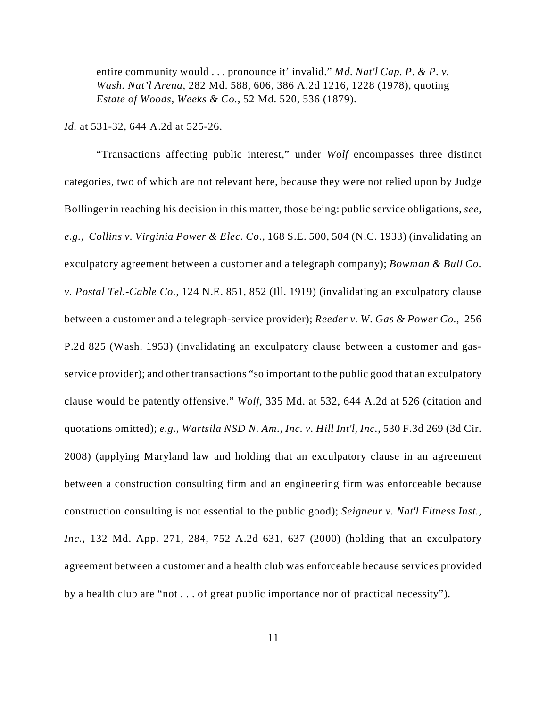entire community would . . . pronounce it' invalid." *Md. Nat'l Cap. P. & P. v. Wash. Nat'l Arena*, 282 Md. 588, 606, 386 A.2d 1216, 1228 (1978), quoting *Estate of Woods, Weeks & Co.*, 52 Md. 520, 536 (1879).

*Id.* at 531-32, 644 A.2d at 525-26.

"Transactions affecting public interest," under *Wolf* encompasses three distinct categories, two of which are not relevant here, because they were not relied upon by Judge Bollinger in reaching his decision in this matter, those being: public service obligations, *see, e.g.*, *Collins v. Virginia Power & Elec. Co.*, 168 S.E. 500, 504 (N.C. 1933) (invalidating an exculpatory agreement between a customer and a telegraph company); *Bowman & Bull Co. v. Postal Tel.-Cable Co.*, 124 N.E. 851, 852 (Ill. 1919) (invalidating an exculpatory clause between a customer and a telegraph-service provider); *Reeder v. W. Gas & Power Co.*, 256 P.2d 825 (Wash. 1953) (invalidating an exculpatory clause between a customer and gasservice provider); and other transactions "so important to the public good that an exculpatory clause would be patently offensive." *Wolf*, 335 Md. at 532, 644 A.2d at 526 (citation and quotations omitted); *e.g.*, *Wartsila NSD N. Am., Inc. v. Hill Int'l, Inc.*, 530 F.3d 269 (3d Cir. 2008) (applying Maryland law and holding that an exculpatory clause in an agreement between a construction consulting firm and an engineering firm was enforceable because construction consulting is not essential to the public good); *Seigneur v. Nat'l Fitness Inst., Inc.*, 132 Md. App. 271, 284, 752 A.2d 631, 637 (2000) (holding that an exculpatory agreement between a customer and a health club was enforceable because services provided by a health club are "not . . . of great public importance nor of practical necessity").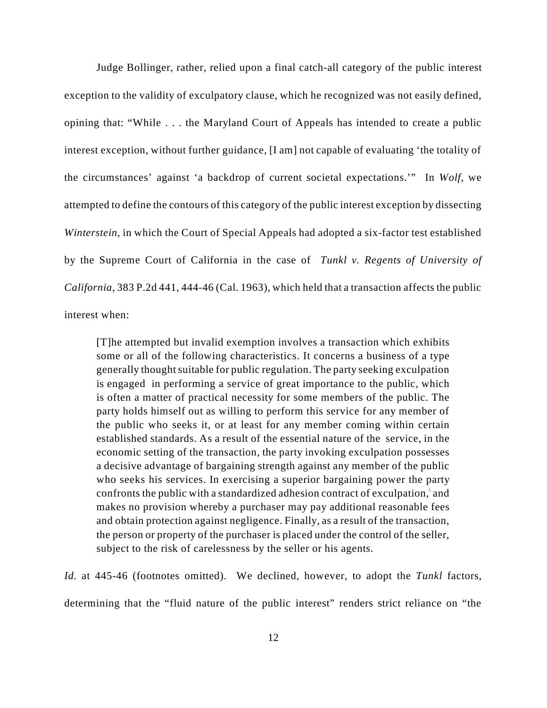Judge Bollinger, rather, relied upon a final catch-all category of the public interest exception to the validity of exculpatory clause, which he recognized was not easily defined, opining that: "While . . . the Maryland Court of Appeals has intended to create a public interest exception, without further guidance, [I am] not capable of evaluating 'the totality of the circumstances' against 'a backdrop of current societal expectations.'" In *Wolf*, we attempted to define the contours of this category of the public interest exception by dissecting *Winterstein*, in which the Court of Special Appeals had adopted a six-factor test established by the Supreme Court of California in the case of *Tunkl v. Regents of University of California*, 383 P.2d 441, 444-46 (Cal. 1963), which held that a transaction affects the public interest when:

[T]he attempted but invalid exemption involves a transaction which exhibits some or all of the following characteristics. It concerns a business of a type generally thought suitable for public regulation. The party seeking exculpation is engaged in performing a service of great importance to the public, which is often a matter of practical necessity for some members of the public. The party holds himself out as willing to perform this service for any member of the public who seeks it, or at least for any member coming within certain established standards. As a result of the essential nature of the service, in the economic setting of the transaction, the party invoking exculpation possesses a decisive advantage of bargaining strength against any member of the public who seeks his services. In exercising a superior bargaining power the party confronts the public with a standardized adhesion contract of exculpation, and makes no provision whereby a purchaser may pay additional reasonable fees and obtain protection against negligence. Finally, as a result of the transaction, the person or property of the purchaser is placed under the control of the seller, subject to the risk of carelessness by the seller or his agents.

*Id.* at 445-46 (footnotes omitted). We declined, however, to adopt the *Tunkl* factors, determining that the "fluid nature of the public interest" renders strict reliance on "the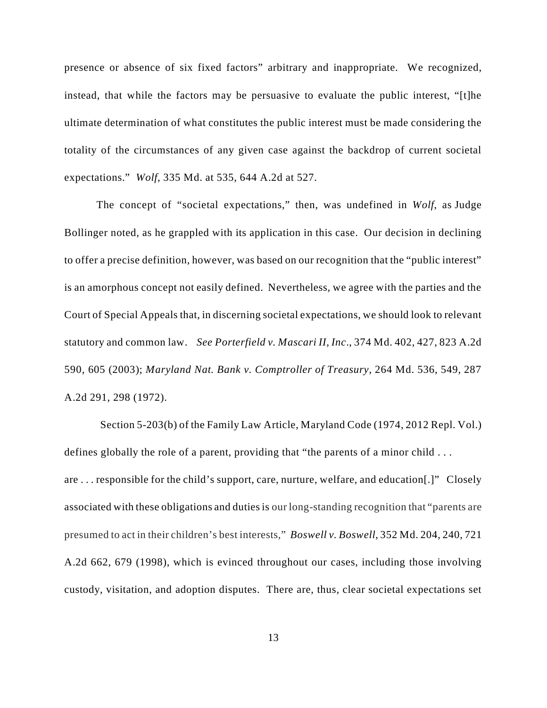presence or absence of six fixed factors" arbitrary and inappropriate. We recognized, instead, that while the factors may be persuasive to evaluate the public interest, "[t]he ultimate determination of what constitutes the public interest must be made considering the totality of the circumstances of any given case against the backdrop of current societal expectations." *Wolf*, 335 Md. at 535, 644 A.2d at 527.

 The concept of "societal expectations," then, was undefined in *Wolf*, as Judge Bollinger noted, as he grappled with its application in this case. Our decision in declining to offer a precise definition, however, was based on our recognition that the "public interest" is an amorphous concept not easily defined. Nevertheless, we agree with the parties and the Court of Special Appeals that, in discerning societal expectations, we should look to relevant statutory and common law. *See Porterfield v. Mascari II, Inc*., 374 Md. 402, 427, 823 A.2d 590, 605 (2003); *Maryland Nat. Bank v. Comptroller of Treasury*, 264 Md. 536, 549, 287 A.2d 291, 298 (1972).

 Section 5-203(b) of the Family Law Article, Maryland Code (1974, 2012 Repl. Vol.) defines globally the role of a parent, providing that "the parents of a minor child . . . are . . . responsible for the child's support, care, nurture, welfare, and education[.]" Closely associated with these obligations and duties is our long-standing recognition that "parents are presumed to act in their children's best interests," *Boswell v. Boswell*, 352 Md. 204, 240, 721 A.2d 662, 679 (1998), which is evinced throughout our cases, including those involving custody, visitation, and adoption disputes. There are, thus, clear societal expectations set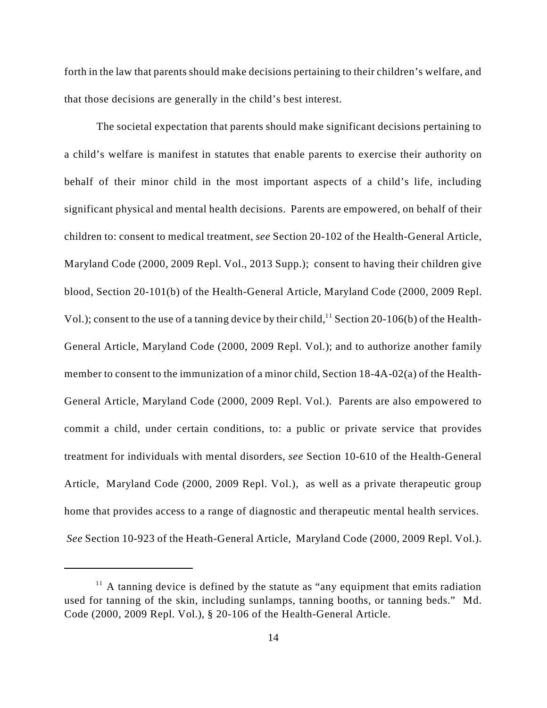forth in the law that parents should make decisions pertaining to their children's welfare, and that those decisions are generally in the child's best interest.

The societal expectation that parents should make significant decisions pertaining to a child's welfare is manifest in statutes that enable parents to exercise their authority on behalf of their minor child in the most important aspects of a child's life, including significant physical and mental health decisions. Parents are empowered, on behalf of their children to: consent to medical treatment, *see* Section 20-102 of the Health-General Article, Maryland Code (2000, 2009 Repl. Vol., 2013 Supp.); consent to having their children give blood, Section 20-101(b) of the Health-General Article, Maryland Code (2000, 2009 Repl. Vol.); consent to the use of a tanning device by their child,  $11$  Section 20-106(b) of the Health-General Article, Maryland Code (2000, 2009 Repl. Vol.); and to authorize another family member to consent to the immunization of a minor child, Section 18-4A-02(a) of the Health-General Article, Maryland Code (2000, 2009 Repl. Vol.). Parents are also empowered to commit a child, under certain conditions, to: a public or private service that provides treatment for individuals with mental disorders, *see* Section 10-610 of the Health-General Article, Maryland Code (2000, 2009 Repl. Vol.), as well as a private therapeutic group home that provides access to a range of diagnostic and therapeutic mental health services. *See* Section 10-923 of the Heath-General Article, Maryland Code (2000, 2009 Repl. Vol.).

 $11$  A tanning device is defined by the statute as "any equipment that emits radiation used for tanning of the skin, including sunlamps, tanning booths, or tanning beds." Md. Code (2000, 2009 Repl. Vol.), § 20-106 of the Health-General Article.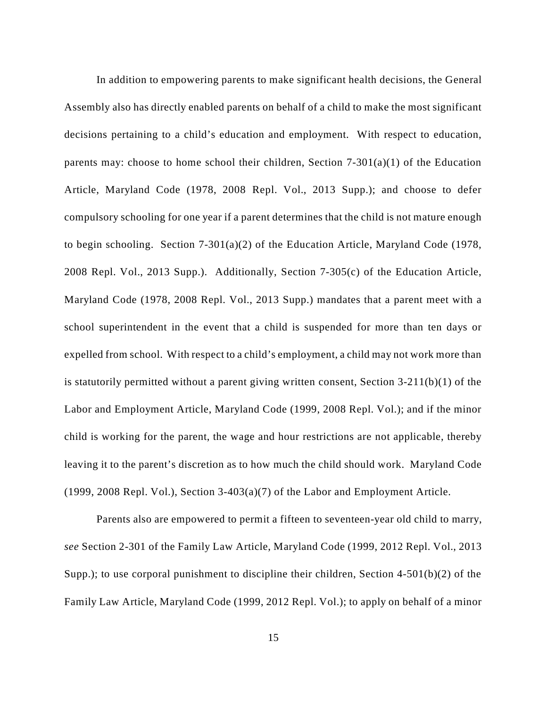In addition to empowering parents to make significant health decisions, the General Assembly also has directly enabled parents on behalf of a child to make the most significant decisions pertaining to a child's education and employment. With respect to education, parents may: choose to home school their children, Section 7-301(a)(1) of the Education Article, Maryland Code (1978, 2008 Repl. Vol., 2013 Supp.); and choose to defer compulsory schooling for one year if a parent determines that the child is not mature enough to begin schooling. Section 7-301(a)(2) of the Education Article, Maryland Code (1978, 2008 Repl. Vol., 2013 Supp.).Additionally, Section 7-305(c) of the Education Article, Maryland Code (1978, 2008 Repl. Vol., 2013 Supp.) mandates that a parent meet with a school superintendent in the event that a child is suspended for more than ten days or expelled from school. With respect to a child's employment, a child may not work more than is statutorily permitted without a parent giving written consent, Section 3-211(b)(1) of the Labor and Employment Article, Maryland Code (1999, 2008 Repl. Vol.); and if the minor child is working for the parent, the wage and hour restrictions are not applicable, thereby leaving it to the parent's discretion as to how much the child should work. Maryland Code (1999, 2008 Repl. Vol.), Section 3-403(a)(7) of the Labor and Employment Article.

Parents also are empowered to permit a fifteen to seventeen-year old child to marry, *see* Section 2-301 of the Family Law Article, Maryland Code (1999, 2012 Repl. Vol., 2013 Supp.); to use corporal punishment to discipline their children, Section 4-501(b)(2) of the Family Law Article, Maryland Code (1999, 2012 Repl. Vol.); to apply on behalf of a minor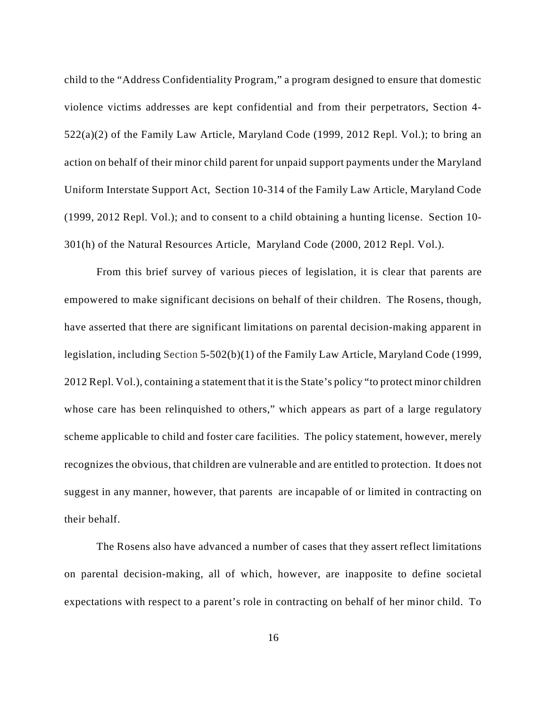child to the "Address Confidentiality Program," a program designed to ensure that domestic violence victims addresses are kept confidential and from their perpetrators, Section 4- 522(a)(2) of the Family Law Article, Maryland Code (1999, 2012 Repl. Vol.); to bring an action on behalf of their minor child parent for unpaid support payments under the Maryland Uniform Interstate Support Act, Section 10-314 of the Family Law Article, Maryland Code (1999, 2012 Repl. Vol.); and to consent to a child obtaining a hunting license. Section 10- 301(h) of the Natural Resources Article, Maryland Code (2000, 2012 Repl. Vol.).

From this brief survey of various pieces of legislation, it is clear that parents are empowered to make significant decisions on behalf of their children. The Rosens, though, have asserted that there are significant limitations on parental decision-making apparent in legislation, including Section 5-502(b)(1) of the Family Law Article, Maryland Code (1999, 2012 Repl. Vol.), containing a statement that it is the State's policy "to protect minor children whose care has been relinquished to others," which appears as part of a large regulatory scheme applicable to child and foster care facilities. The policy statement, however, merely recognizes the obvious, that children are vulnerable and are entitled to protection. It does not suggest in any manner, however, that parents are incapable of or limited in contracting on their behalf.

The Rosens also have advanced a number of cases that they assert reflect limitations on parental decision-making, all of which, however, are inapposite to define societal expectations with respect to a parent's role in contracting on behalf of her minor child. To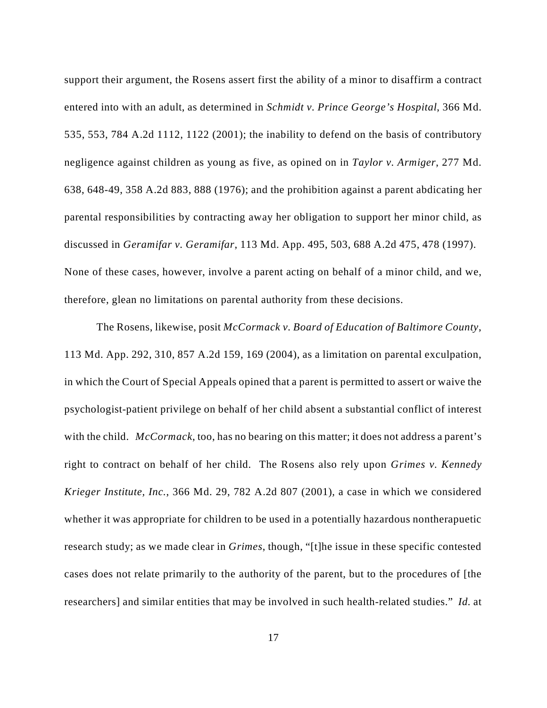support their argument, the Rosens assert first the ability of a minor to disaffirm a contract entered into with an adult, as determined in *Schmidt v. Prince George's Hospital*, 366 Md. 535, 553, 784 A.2d 1112, 1122 (2001); the inability to defend on the basis of contributory negligence against children as young as five, as opined on in *Taylor v. Armiger*, 277 Md. 638, 648-49, 358 A.2d 883, 888 (1976); and the prohibition against a parent abdicating her parental responsibilities by contracting away her obligation to support her minor child, as discussed in *Geramifar v. Geramifar*, 113 Md. App. 495, 503, 688 A.2d 475, 478 (1997). None of these cases, however, involve a parent acting on behalf of a minor child, and we, therefore, glean no limitations on parental authority from these decisions.

The Rosens, likewise, posit *McCormack v. Board of Education of Baltimore County*, 113 Md. App. 292, 310, 857 A.2d 159, 169 (2004), as a limitation on parental exculpation, in which the Court of Special Appeals opined that a parent is permitted to assert or waive the psychologist-patient privilege on behalf of her child absent a substantial conflict of interest with the child. *McCormack*, too, has no bearing on this matter; it does not address a parent's right to contract on behalf of her child. The Rosens also rely upon *Grimes v. Kennedy Krieger Institute, Inc.*, 366 Md. 29, 782 A.2d 807 (2001)*,* a case in which we considered whether it was appropriate for children to be used in a potentially hazardous nontherapuetic research study; as we made clear in *Grimes*, though, "[t]he issue in these specific contested cases does not relate primarily to the authority of the parent, but to the procedures of [the researchers] and similar entities that may be involved in such health-related studies." *Id.* at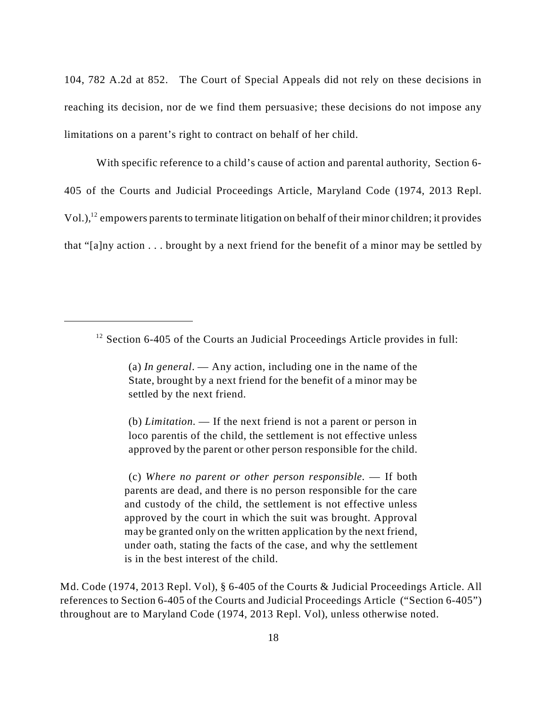104, 782 A.2d at 852. The Court of Special Appeals did not rely on these decisions in reaching its decision, nor de we find them persuasive; these decisions do not impose any limitations on a parent's right to contract on behalf of her child.

With specific reference to a child's cause of action and parental authority, Section 6- 405 of the Courts and Judicial Proceedings Article, Maryland Code (1974, 2013 Repl. Vol.), <sup>12</sup> empowers parents to terminate litigation on behalf of their minor children; it provides that "[a]ny action . . . brought by a next friend for the benefit of a minor may be settled by

 $12$  Section 6-405 of the Courts an Judicial Proceedings Article provides in full:

(a) *In general*. — Any action, including one in the name of the State, brought by a next friend for the benefit of a minor may be settled by the next friend.

(b) *Limitation.* — If the next friend is not a parent or person in loco parentis of the child, the settlement is not effective unless approved by the parent or other person responsible for the child.

 (c) *Where no parent or other person responsible.* — If both parents are dead, and there is no person responsible for the care and custody of the child, the settlement is not effective unless approved by the court in which the suit was brought. Approval may be granted only on the written application by the next friend, under oath, stating the facts of the case, and why the settlement is in the best interest of the child.

Md. Code (1974, 2013 Repl. Vol), § 6-405 of the Courts & Judicial Proceedings Article. All references to Section 6-405 of the Courts and Judicial Proceedings Article ("Section 6-405") throughout are to Maryland Code (1974, 2013 Repl. Vol), unless otherwise noted.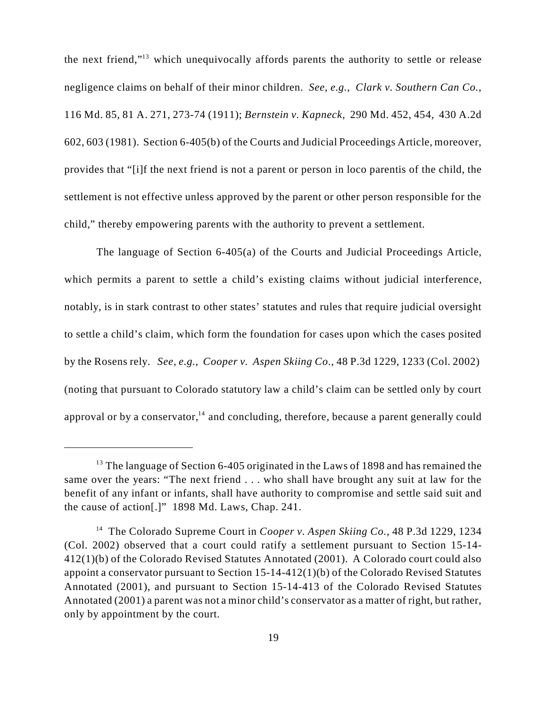the next friend,"<sup>13</sup> which unequivocally affords parents the authority to settle or release negligence claims on behalf of their minor children. *See, e.g.*, *Clark v. Southern Can Co.*, 116 Md. 85, 81 A. 271, 273-74 (1911); *Bernstein v. Kapneck*, 290 Md. 452, 454, 430 A.2d 602, 603 (1981). Section 6-405(b) of the Courts and Judicial Proceedings Article, moreover, provides that "[i]f the next friend is not a parent or person in loco parentis of the child, the settlement is not effective unless approved by the parent or other person responsible for the child," thereby empowering parents with the authority to prevent a settlement.

The language of Section 6-405(a) of the Courts and Judicial Proceedings Article, which permits a parent to settle a child's existing claims without judicial interference, notably, is in stark contrast to other states' statutes and rules that require judicial oversight to settle a child's claim, which form the foundation for cases upon which the cases posited by the Rosens rely. *See, e.g.*, *Cooper v. Aspen Skiing Co.*, 48 P.3d 1229, 1233 (Col. 2002) (noting that pursuant to Colorado statutory law a child's claim can be settled only by court approval or by a conservator,<sup> $14$ </sup> and concluding, therefore, because a parent generally could

 $13$  The language of Section 6-405 originated in the Laws of 1898 and has remained the same over the years: "The next friend . . . who shall have brought any suit at law for the benefit of any infant or infants, shall have authority to compromise and settle said suit and the cause of action[.]" 1898 Md. Laws, Chap. 241.

<sup>&</sup>lt;sup>14</sup> The Colorado Supreme Court in *Cooper v. Aspen Skiing Co.*, 48 P.3d 1229, 1234 (Col. 2002) observed that a court could ratify a settlement pursuant to Section 15-14- 412(1)(b) of the Colorado Revised Statutes Annotated (2001). A Colorado court could also appoint a conservator pursuant to Section 15-14-412(1)(b) of the Colorado Revised Statutes Annotated (2001), and pursuant to Section 15-14-413 of the Colorado Revised Statutes Annotated (2001) a parent was not a minor child's conservator as a matter of right, but rather, only by appointment by the court.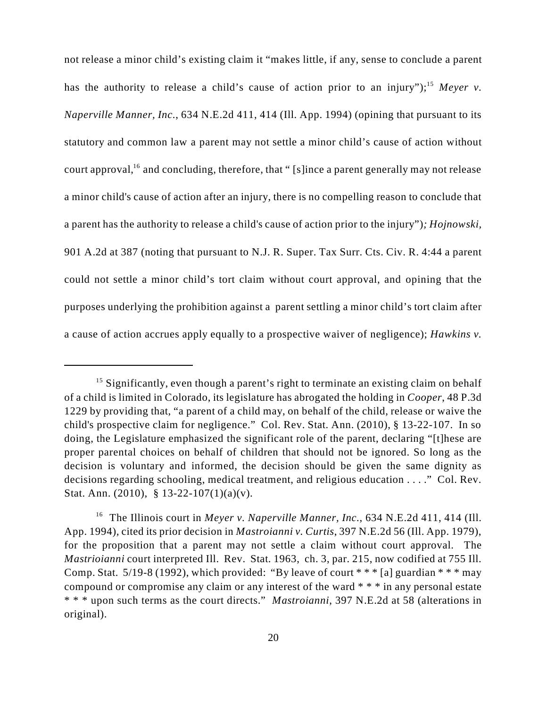not release a minor child's existing claim it "makes little, if any, sense to conclude a parent has the authority to release a child's cause of action prior to an injury");<sup>15</sup> Meyer v. *Naperville Manner, Inc.*, 634 N.E.2d 411, 414 (Ill. App. 1994) (opining that pursuant to its statutory and common law a parent may not settle a minor child's cause of action without court approval,  $\frac{1}{6}$  and concluding, therefore, that " [s]ince a parent generally may not release a minor child's cause of action after an injury, there is no compelling reason to conclude that a parent has the authority to release a child's cause of action prior to the injury")*; Hojnowski,* 901 A.2d at 387 (noting that pursuant to N.J. R. Super. Tax Surr. Cts. Civ. R. 4:44 a parent could not settle a minor child's tort claim without court approval, and opining that the purposes underlying the prohibition against a parent settling a minor child's tort claim after a cause of action accrues apply equally to a prospective waiver of negligence); *Hawkins v.*

 $15$  Significantly, even though a parent's right to terminate an existing claim on behalf of a child is limited in Colorado, its legislature has abrogated the holding in *Cooper*, 48 P.3d 1229 by providing that, "a parent of a child may, on behalf of the child, release or waive the child's prospective claim for negligence." Col. Rev. Stat. Ann. (2010), § 13-22-107. In so doing, the Legislature emphasized the significant role of the parent, declaring "[t]hese are proper parental choices on behalf of children that should not be ignored. So long as the decision is voluntary and informed, the decision should be given the same dignity as decisions regarding schooling, medical treatment, and religious education . . . ." Col. Rev. Stat. Ann. (2010), § 13-22-107(1)(a)(v).

<sup>&</sup>lt;sup>16</sup> The Illinois court in *Meyer v. Naperville Manner, Inc.*, 634 N.E.2d 411, 414 (Ill. App. 1994)*,* cited its prior decision in *Mastroianni v. Curtis*, 397 N.E.2d 56 (Ill. App. 1979), for the proposition that a parent may not settle a claim without court approval. The *Mastrioianni* court interpreted Ill. Rev. Stat. 1963, ch. 3, par. 215, now codified at 755 Ill. Comp. Stat. 5/19-8 (1992), which provided: "By leave of court  $**$  \* [a] guardian  $***$  may compound or compromise any claim or any interest of the ward \* \* \* in any personal estate \* \* \* upon such terms as the court directs." *Mastroianni*, 397 N.E.2d at 58 (alterations in original).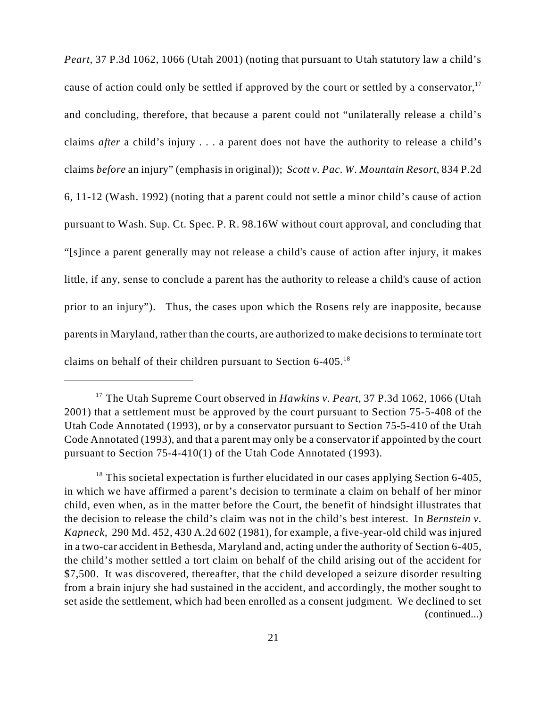*Peart,* 37 P.3d 1062, 1066 (Utah 2001) (noting that pursuant to Utah statutory law a child's cause of action could only be settled if approved by the court or settled by a conservator,  $17$ and concluding, therefore, that because a parent could not "unilaterally release a child's claims *after* a child's injury . . . a parent does not have the authority to release a child's claims *before* an injury" (emphasis in original)); *Scott v. Pac. W. Mountain Resort*, 834 P.2d 6, 11-12 (Wash. 1992) (noting that a parent could not settle a minor child's cause of action pursuant to Wash. Sup. Ct. Spec. P. R. 98.16W without court approval, and concluding that "[s]ince a parent generally may not release a child's cause of action after injury, it makes little, if any, sense to conclude a parent has the authority to release a child's cause of action prior to an injury"). Thus, the cases upon which the Rosens rely are inapposite, because parents in Maryland, rather than the courts, are authorized to make decisions to terminate tort claims on behalf of their children pursuant to Section 6-405.<sup>18</sup>

<sup>&</sup>lt;sup>17</sup> The Utah Supreme Court observed in *Hawkins v. Peart*, 37 P.3d 1062, 1066 (Utah 2001) that a settlement must be approved by the court pursuant to Section 75-5-408 of the Utah Code Annotated (1993), or by a conservator pursuant to Section 75-5-410 of the Utah Code Annotated (1993), and that a parent may only be a conservator if appointed by the court pursuant to Section 75-4-410(1) of the Utah Code Annotated (1993).

 $18$  This societal expectation is further elucidated in our cases applying Section 6-405, in which we have affirmed a parent's decision to terminate a claim on behalf of her minor child, even when, as in the matter before the Court, the benefit of hindsight illustrates that the decision to release the child's claim was not in the child's best interest. In *Bernstein v. Kapneck*, 290 Md. 452, 430 A.2d 602 (1981), for example, a five-year-old child was injured in a two-car accident in Bethesda, Maryland and, acting under the authority of Section 6-405, the child's mother settled a tort claim on behalf of the child arising out of the accident for \$7,500. It was discovered, thereafter, that the child developed a seizure disorder resulting from a brain injury she had sustained in the accident, and accordingly, the mother sought to set aside the settlement, which had been enrolled as a consent judgment. We declined to set (continued...)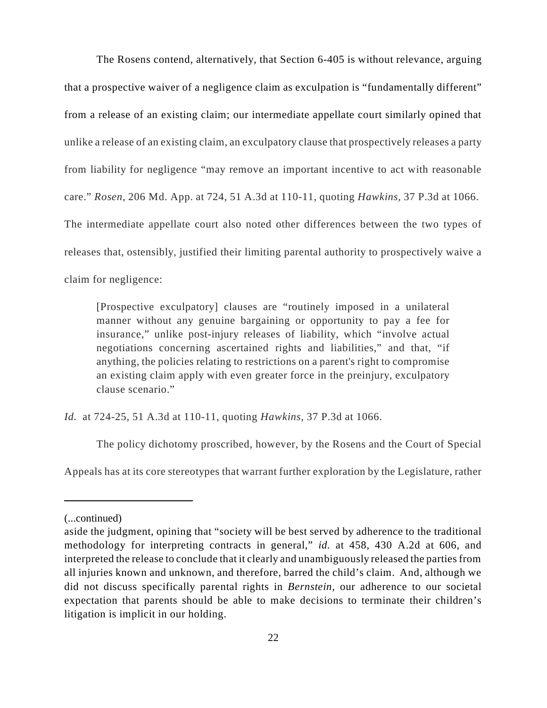The Rosens contend, alternatively, that Section 6-405 is without relevance, arguing that a prospective waiver of a negligence claim as exculpation is "fundamentally different" from a release of an existing claim; our intermediate appellate court similarly opined that unlike a release of an existing claim, an exculpatory clause that prospectively releases a party from liability for negligence "may remove an important incentive to act with reasonable care." *Rosen*, 206 Md. App. at 724, 51 A.3d at 110-11, quoting *Hawkins,* 37 P.3d at 1066. The intermediate appellate court also noted other differences between the two types of releases that, ostensibly, justified their limiting parental authority to prospectively waive a claim for negligence:

[Prospective exculpatory] clauses are "routinely imposed in a unilateral manner without any genuine bargaining or opportunity to pay a fee for insurance," unlike post-injury releases of liability, which "involve actual negotiations concerning ascertained rights and liabilities," and that, "if anything, the policies relating to restrictions on a parent's right to compromise an existing claim apply with even greater force in the preinjury, exculpatory clause scenario."

*Id.* at 724-25, 51 A.3d at 110-11, quoting *Hawkins,* 37 P.3d at 1066.

The policy dichotomy proscribed, however, by the Rosens and the Court of Special

Appeals has at its core stereotypes that warrant further exploration by the Legislature, rather

<sup>(...</sup>continued)

aside the judgment, opining that "society will be best served by adherence to the traditional methodology for interpreting contracts in general," *id.* at 458, 430 A.2d at 606, and interpreted the release to conclude that it clearly and unambiguously released the parties from all injuries known and unknown, and therefore, barred the child's claim. And, although we did not discuss specifically parental rights in *Bernstein,* our adherence to our societal expectation that parents should be able to make decisions to terminate their children's litigation is implicit in our holding.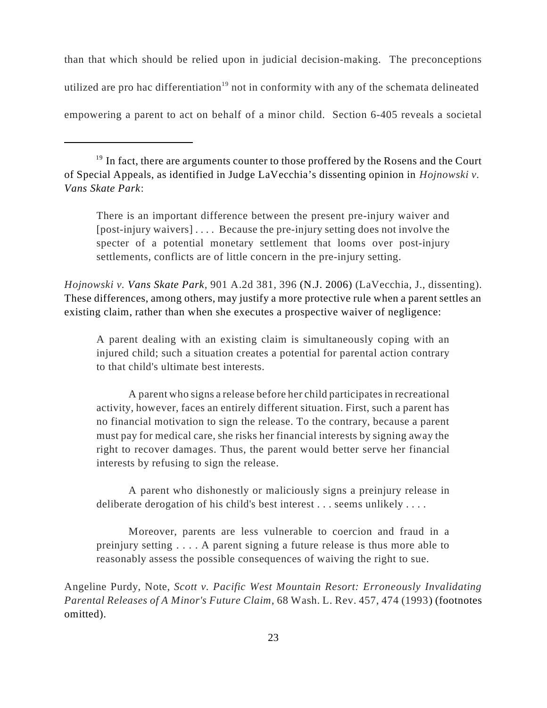than that which should be relied upon in judicial decision-making. The preconceptions utilized are pro hac differentiation<sup>19</sup> not in conformity with any of the schemata delineated empowering a parent to act on behalf of a minor child. Section 6-405 reveals a societal

There is an important difference between the present pre-injury waiver and [post-injury waivers] . . . . Because the pre-injury setting does not involve the specter of a potential monetary settlement that looms over post-injury settlements, conflicts are of little concern in the pre-injury setting.

*Hojnowski v. Vans Skate Park*, 901 A.2d 381, 396 (N.J. 2006) (LaVecchia, J., dissenting). These differences, among others, may justify a more protective rule when a parent settles an existing claim, rather than when she executes a prospective waiver of negligence:

A parent dealing with an existing claim is simultaneously coping with an injured child; such a situation creates a potential for parental action contrary to that child's ultimate best interests.

A parent who signs a release before her child participates in recreational activity, however, faces an entirely different situation. First, such a parent has no financial motivation to sign the release. To the contrary, because a parent must pay for medical care, she risks her financial interests by signing away the right to recover damages. Thus, the parent would better serve her financial interests by refusing to sign the release.

A parent who dishonestly or maliciously signs a preinjury release in deliberate derogation of his child's best interest . . . seems unlikely . . . .

Moreover, parents are less vulnerable to coercion and fraud in a preinjury setting . . . . A parent signing a future release is thus more able to reasonably assess the possible consequences of waiving the right to sue.

Angeline Purdy, Note, *Scott v. Pacific West Mountain Resort: Erroneously Invalidating Parental Releases of A Minor's Future Claim*, 68 Wash. L. Rev. 457, 474 (1993) (footnotes omitted).

<sup>&</sup>lt;sup>19</sup> In fact, there are arguments counter to those proffered by the Rosens and the Court of Special Appeals, as identified in Judge LaVecchia's dissenting opinion in *Hojnowski v. Vans Skate Park*: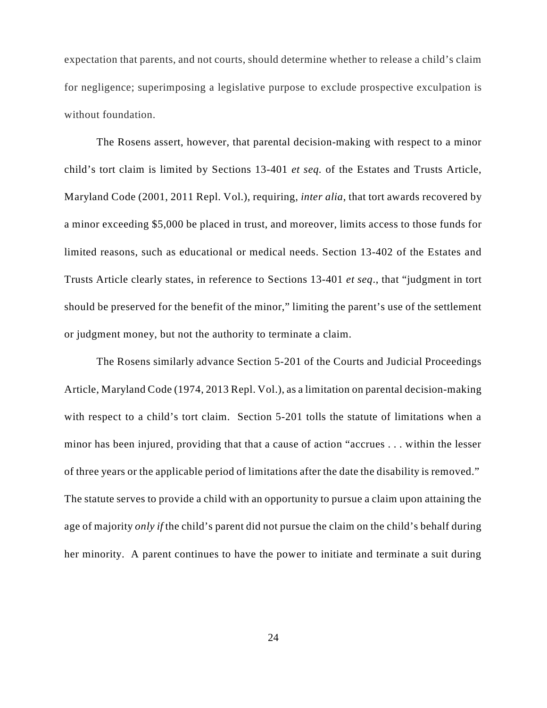expectation that parents, and not courts, should determine whether to release a child's claim for negligence; superimposing a legislative purpose to exclude prospective exculpation is without foundation.

The Rosens assert, however, that parental decision-making with respect to a minor child's tort claim is limited by Sections 13-401 *et seq.* of the Estates and Trusts Article, Maryland Code (2001, 2011 Repl. Vol.), requiring, *inter alia*, that tort awards recovered by a minor exceeding \$5,000 be placed in trust, and moreover, limits access to those funds for limited reasons, such as educational or medical needs. Section 13-402 of the Estates and Trusts Article clearly states, in reference to Sections 13-401 *et seq*., that "judgment in tort should be preserved for the benefit of the minor," limiting the parent's use of the settlement or judgment money, but not the authority to terminate a claim.

The Rosens similarly advance Section 5-201 of the Courts and Judicial Proceedings Article, Maryland Code (1974, 2013 Repl. Vol.), as a limitation on parental decision-making with respect to a child's tort claim. Section 5-201 tolls the statute of limitations when a minor has been injured, providing that that a cause of action "accrues . . . within the lesser of three years or the applicable period of limitations after the date the disability is removed." The statute serves to provide a child with an opportunity to pursue a claim upon attaining the age of majority *only if* the child's parent did not pursue the claim on the child's behalf during her minority. A parent continues to have the power to initiate and terminate a suit during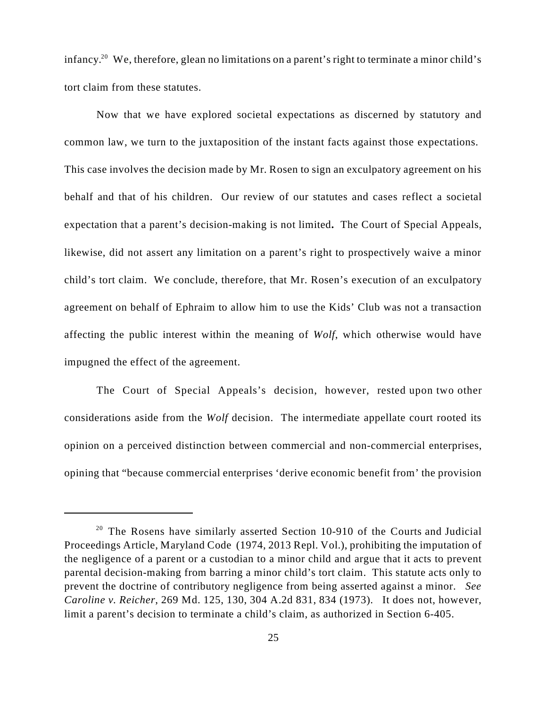infancy.<sup>20</sup> We, therefore, glean no limitations on a parent's right to terminate a minor child's tort claim from these statutes.

Now that we have explored societal expectations as discerned by statutory and common law, we turn to the juxtaposition of the instant facts against those expectations. This case involves the decision made by Mr. Rosen to sign an exculpatory agreement on his behalf and that of his children. Our review of our statutes and cases reflect a societal expectation that a parent's decision-making is not limited**.** The Court of Special Appeals, likewise, did not assert any limitation on a parent's right to prospectively waive a minor child's tort claim. We conclude, therefore, that Mr. Rosen's execution of an exculpatory agreement on behalf of Ephraim to allow him to use the Kids' Club was not a transaction affecting the public interest within the meaning of *Wolf*, which otherwise would have impugned the effect of the agreement.

 The Court of Special Appeals's decision, however, rested upon two other considerations aside from the *Wolf* decision. The intermediate appellate court rooted its opinion on a perceived distinction between commercial and non-commercial enterprises, opining that "because commercial enterprises 'derive economic benefit from' the provision

 $20$  The Rosens have similarly asserted Section 10-910 of the Courts and Judicial Proceedings Article, Maryland Code (1974, 2013 Repl. Vol.), prohibiting the imputation of the negligence of a parent or a custodian to a minor child and argue that it acts to prevent parental decision-making from barring a minor child's tort claim. This statute acts only to prevent the doctrine of contributory negligence from being asserted against a minor. *See Caroline v. Reicher*, 269 Md. 125, 130, 304 A.2d 831, 834 (1973). It does not, however, limit a parent's decision to terminate a child's claim, as authorized in Section 6-405.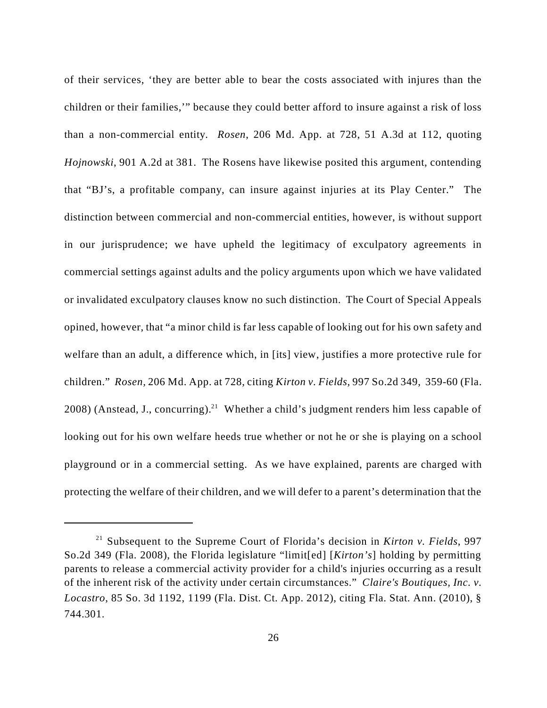of their services, 'they are better able to bear the costs associated with injures than the children or their families,'" because they could better afford to insure against a risk of loss than a non-commercial entity. *Rosen*, 206 Md. App. at 728, 51 A.3d at 112, quoting *Hojnowski*, 901 A.2d at 381. The Rosens have likewise posited this argument, contending that "BJ's, a profitable company, can insure against injuries at its Play Center." The distinction between commercial and non-commercial entities, however, is without support in our jurisprudence; we have upheld the legitimacy of exculpatory agreements in commercial settings against adults and the policy arguments upon which we have validated or invalidated exculpatory clauses know no such distinction. The Court of Special Appeals opined, however, that "a minor child is far less capable of looking out for his own safety and welfare than an adult, a difference which, in [its] view, justifies a more protective rule for children." *Rosen,* 206 Md. App. at 728, citing *Kirton v. Fields,* 997 So.2d 349, 359-60 (Fla. 2008) (Anstead, J., concurring).<sup>21</sup> Whether a child's judgment renders him less capable of looking out for his own welfare heeds true whether or not he or she is playing on a school playground or in a commercial setting. As we have explained, parents are charged with protecting the welfare of their children, and we will defer to a parent's determination that the

<sup>&</sup>lt;sup>21</sup> Subsequent to the Supreme Court of Florida's decision in *Kirton v. Fields*, 997 So.2d 349 (Fla. 2008), the Florida legislature "limit[ed] [*Kirton's*] holding by permitting parents to release a commercial activity provider for a child's injuries occurring as a result of the inherent risk of the activity under certain circumstances." *Claire's Boutiques, Inc. v. Locastro*, 85 So. 3d 1192, 1199 (Fla. Dist. Ct. App. 2012), citing Fla. Stat. Ann. (2010), § 744.301.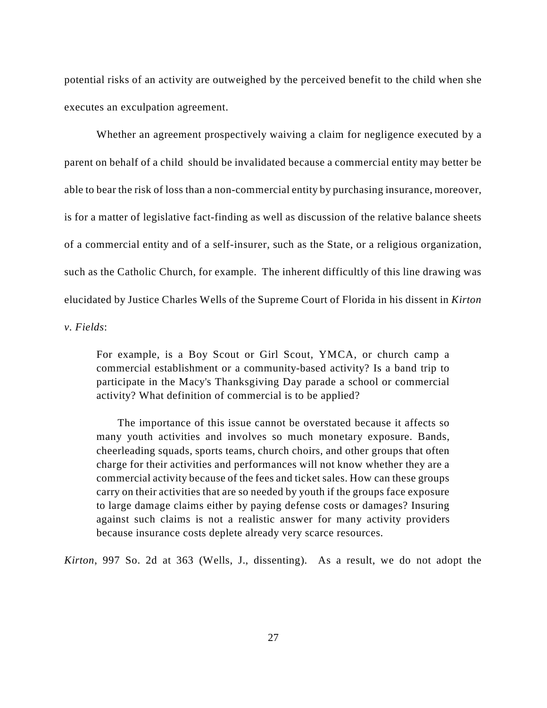potential risks of an activity are outweighed by the perceived benefit to the child when she executes an exculpation agreement.

Whether an agreement prospectively waiving a claim for negligence executed by a parent on behalf of a child should be invalidated because a commercial entity may better be able to bear the risk of loss than a non-commercial entity by purchasing insurance, moreover, is for a matter of legislative fact-finding as well as discussion of the relative balance sheets of a commercial entity and of a self-insurer, such as the State, or a religious organization, such as the Catholic Church, for example. The inherent difficultly of this line drawing was elucidated by Justice Charles Wells of the Supreme Court of Florida in his dissent in *Kirton*

*v. Fields*:

For example, is a Boy Scout or Girl Scout, YMCA, or church camp a commercial establishment or a community-based activity? Is a band trip to participate in the Macy's Thanksgiving Day parade a school or commercial activity? What definition of commercial is to be applied?

 The importance of this issue cannot be overstated because it affects so many youth activities and involves so much monetary exposure. Bands, cheerleading squads, sports teams, church choirs, and other groups that often charge for their activities and performances will not know whether they are a commercial activity because of the fees and ticket sales. How can these groups carry on their activities that are so needed by youth if the groups face exposure to large damage claims either by paying defense costs or damages? Insuring against such claims is not a realistic answer for many activity providers because insurance costs deplete already very scarce resources.

*Kirton*, 997 So. 2d at 363 (Wells, J., dissenting). As a result, we do not adopt the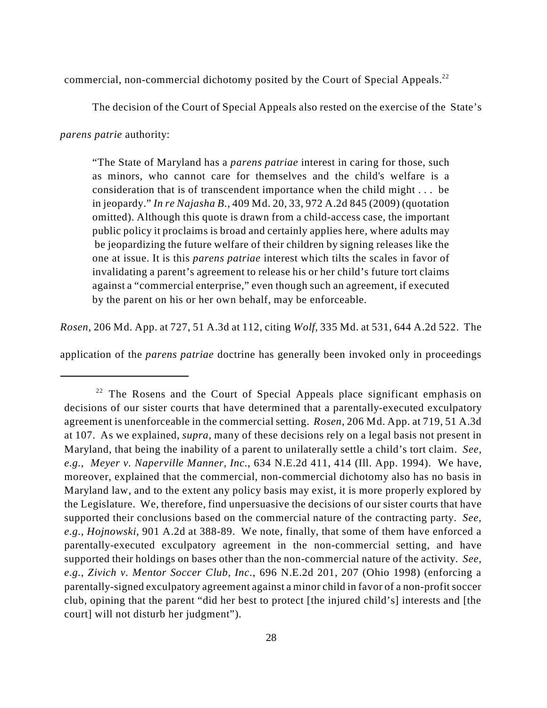commercial, non-commercial dichotomy posited by the Court of Special Appeals.<sup>22</sup>

The decision of the Court of Special Appeals also rested on the exercise of the State's

*parens patrie* authority:

"The State of Maryland has a *parens patriae* interest in caring for those, such as minors, who cannot care for themselves and the child's welfare is a consideration that is of transcendent importance when the child might . . . be in jeopardy." *In re Najasha B.*, 409 Md. 20, 33, 972 A.2d 845 (2009) (quotation omitted). Although this quote is drawn from a child-access case, the important public policy it proclaims is broad and certainly applies here, where adults may be jeopardizing the future welfare of their children by signing releases like the one at issue. It is this *parens patriae* interest which tilts the scales in favor of invalidating a parent's agreement to release his or her child's future tort claims against a "commercial enterprise," even though such an agreement, if executed by the parent on his or her own behalf, may be enforceable.

*Rosen*, 206 Md. App. at 727, 51 A.3d at 112, citing *Wolf*, 335 Md. at 531, 644 A.2d 522. The

application of the *parens patriae* doctrine has generally been invoked only in proceedings

 $22$  The Rosens and the Court of Special Appeals place significant emphasis on decisions of our sister courts that have determined that a parentally-executed exculpatory agreement is unenforceable in the commercial setting. *Rosen*, 206 Md. App. at 719, 51 A.3d at 107. As we explained, *supra*, many of these decisions rely on a legal basis not present in Maryland, that being the inability of a parent to unilaterally settle a child's tort claim. *See, e.g.*, *Meyer v. Naperville Manner, Inc.*, 634 N.E.2d 411, 414 (Ill. App. 1994). We have, moreover, explained that the commercial, non-commercial dichotomy also has no basis in Maryland law, and to the extent any policy basis may exist, it is more properly explored by the Legislature. We, therefore, find unpersuasive the decisions of our sister courts that have supported their conclusions based on the commercial nature of the contracting party. *See, e.g.*, *Hojnowski*, 901 A.2d at 388-89. We note, finally, that some of them have enforced a parentally-executed exculpatory agreement in the non-commercial setting, and have supported their holdings on bases other than the non-commercial nature of the activity. *See, e.g.*, *Zivich v. Mentor Soccer Club, Inc.*, 696 N.E.2d 201, 207 (Ohio 1998) (enforcing a parentally-signed exculpatory agreement against a minor child in favor of a non-profit soccer club, opining that the parent "did her best to protect [the injured child's] interests and [the court] will not disturb her judgment").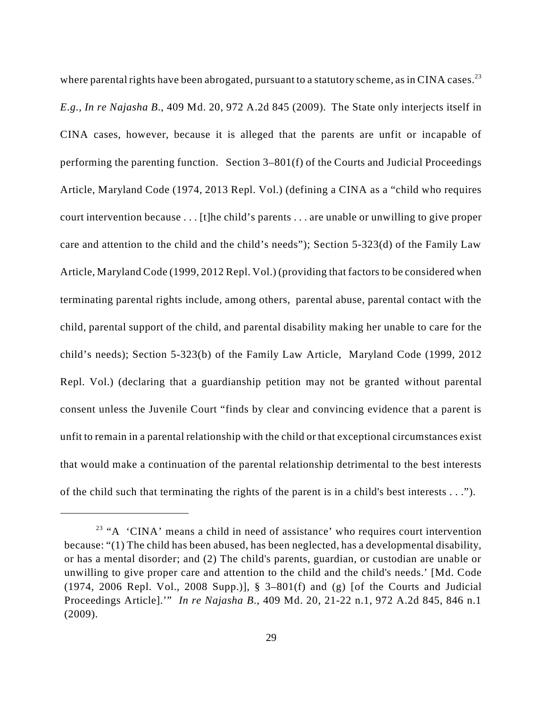where parental rights have been abrogated, pursuant to a statutory scheme, as in CINA cases.<sup>23</sup> *E.g.*, *In re Najasha B.*, 409 Md. 20, 972 A.2d 845 (2009). The State only interjects itself in CINA cases, however, because it is alleged that the parents are unfit or incapable of performing the parenting function. Section 3–801(f) of the Courts and Judicial Proceedings Article, Maryland Code (1974, 2013 Repl. Vol.) (defining a CINA as a "child who requires court intervention because . . . [t]he child's parents . . . are unable or unwilling to give proper care and attention to the child and the child's needs"); Section 5-323(d) of the Family Law Article, Maryland Code (1999, 2012 Repl. Vol.) (providing that factors to be considered when terminating parental rights include, among others, parental abuse, parental contact with the child, parental support of the child, and parental disability making her unable to care for the child's needs); Section 5-323(b) of the Family Law Article, Maryland Code (1999, 2012 Repl. Vol.) (declaring that a guardianship petition may not be granted without parental consent unless the Juvenile Court "finds by clear and convincing evidence that a parent is unfit to remain in a parental relationship with the child or that exceptional circumstances exist that would make a continuation of the parental relationship detrimental to the best interests of the child such that terminating the rights of the parent is in a child's best interests . . .").

<sup>&</sup>lt;sup>23</sup> "A 'CINA' means a child in need of assistance' who requires court intervention because: "(1) The child has been abused, has been neglected, has a developmental disability, or has a mental disorder; and (2) The child's parents, guardian, or custodian are unable or unwilling to give proper care and attention to the child and the child's needs.' [Md. Code (1974, 2006 Repl. Vol., 2008 Supp.)],  $\S$  3–801(f) and (g) [of the Courts and Judicial Proceedings Article].'" *In re Najasha B.*, 409 Md. 20, 21-22 n.1, 972 A.2d 845, 846 n.1 (2009).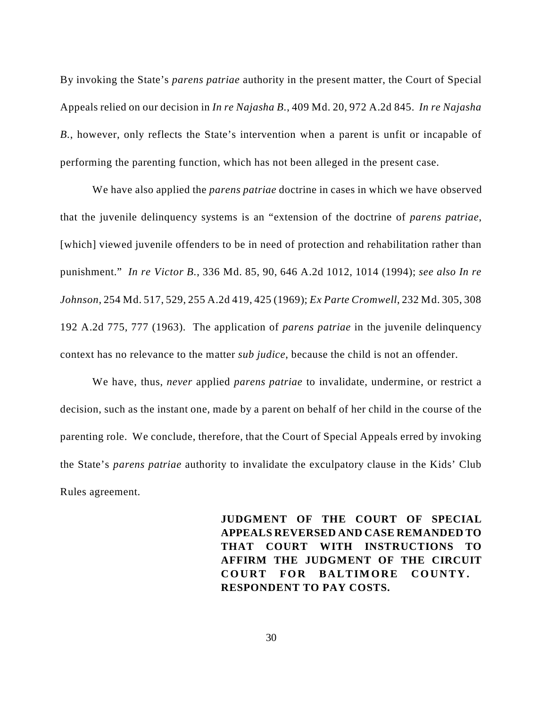By invoking the State's *parens patriae* authority in the present matter, the Court of Special Appeals relied on our decision in *In re Najasha B.*, 409 Md. 20, 972 A.2d 845. *In re Najasha B.*, however, only reflects the State's intervention when a parent is unfit or incapable of performing the parenting function, which has not been alleged in the present case.

 We have also applied the *parens patriae* doctrine in cases in which we have observed that the juvenile delinquency systems is an "extension of the doctrine of *parens patriae*, [which] viewed juvenile offenders to be in need of protection and rehabilitation rather than punishment." *In re Victor B.*, 336 Md. 85, 90, 646 A.2d 1012, 1014 (1994); *see also In re Johnson*, 254 Md. 517, 529, 255 A.2d 419, 425 (1969); *Ex Parte Cromwell*, 232 Md. 305, 308 192 A.2d 775, 777 (1963). The application of *parens patriae* in the juvenile delinquency context has no relevance to the matter *sub judice*, because the child is not an offender.

We have, thus, *never* applied *parens patriae* to invalidate, undermine, or restrict a decision, such as the instant one, made by a parent on behalf of her child in the course of the parenting role. We conclude, therefore, that the Court of Special Appeals erred by invoking the State's *parens patriae* authority to invalidate the exculpatory clause in the Kids' Club Rules agreement.

> **JUDGMENT OF THE COURT OF SPECIAL APPEALS REVERSED AND CASE REMANDED TO THAT COURT WITH INSTRUCTIONS TO AFFIRM THE JUDGMENT OF THE CIRCUIT** COURT FOR BALTIMORE COUNTY. **RESPONDENT TO PAY COSTS.**

> > 30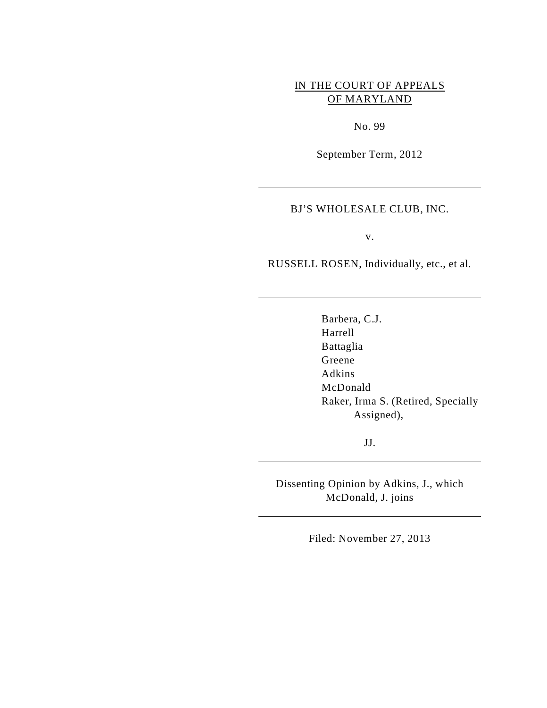#### IN THE COURT OF APPEALS OF MARYLAND

No. 99

September Term, 2012

#### BJ'S WHOLESALE CLUB, INC.

 $\overline{a}$ 

 $\overline{a}$ 

 $\overline{a}$ 

 $\overline{a}$ 

v.

RUSSELL ROSEN, Individually, etc., et al.

Barbera, C.J. Harrell Battaglia Greene Adkins McDonald Raker, Irma S. (Retired, Specially Assigned),

JJ.

Dissenting Opinion by Adkins, J., which McDonald, J. joins

Filed: November 27, 2013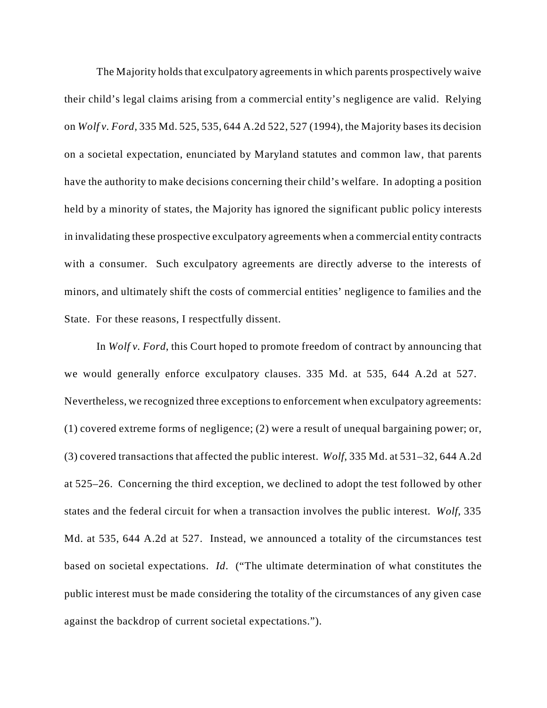The Majority holds that exculpatory agreements in which parents prospectively waive their child's legal claims arising from a commercial entity's negligence are valid. Relying on *Wolf v. Ford*, 335 Md. 525, 535, 644 A.2d 522, 527 (1994), the Majority bases its decision on a societal expectation, enunciated by Maryland statutes and common law, that parents have the authority to make decisions concerning their child's welfare. In adopting a position held by a minority of states, the Majority has ignored the significant public policy interests in invalidating these prospective exculpatory agreements when a commercial entity contracts with a consumer. Such exculpatory agreements are directly adverse to the interests of minors, and ultimately shift the costs of commercial entities' negligence to families and the State. For these reasons, I respectfully dissent.

In *Wolf v. Ford*, this Court hoped to promote freedom of contract by announcing that we would generally enforce exculpatory clauses. 335 Md. at 535, 644 A.2d at 527. Nevertheless, we recognized three exceptions to enforcement when exculpatory agreements: (1) covered extreme forms of negligence; (2) were a result of unequal bargaining power; or, (3) covered transactions that affected the public interest. *Wolf*, 335 Md. at 531–32, 644 A.2d at 525–26. Concerning the third exception, we declined to adopt the test followed by other states and the federal circuit for when a transaction involves the public interest. *Wolf*, 335 Md. at 535, 644 A.2d at 527. Instead, we announced a totality of the circumstances test based on societal expectations. *Id*. ("The ultimate determination of what constitutes the public interest must be made considering the totality of the circumstances of any given case against the backdrop of current societal expectations.").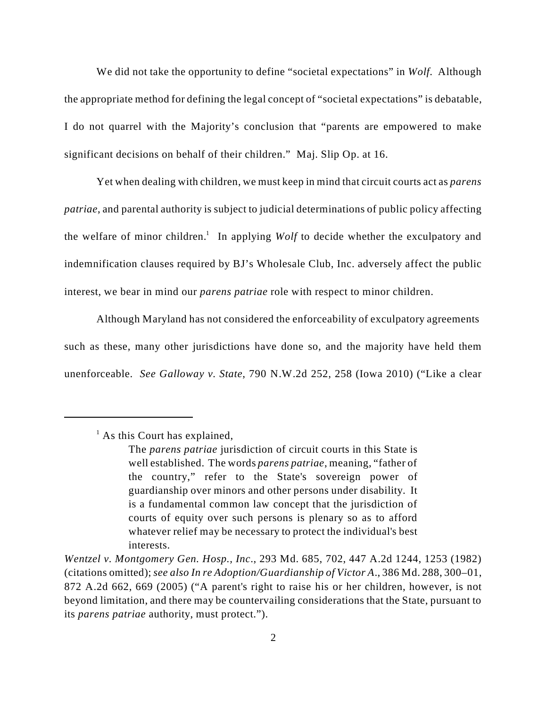We did not take the opportunity to define "societal expectations" in *Wolf*. Although the appropriate method for defining the legal concept of "societal expectations" is debatable, I do not quarrel with the Majority's conclusion that "parents are empowered to make significant decisions on behalf of their children." Maj. Slip Op. at 16.

Yet when dealing with children, we must keep in mind that circuit courts act as *parens patriae*, and parental authority is subject to judicial determinations of public policy affecting the welfare of minor children.<sup>1</sup> In applying *Wolf* to decide whether the exculpatory and indemnification clauses required by BJ's Wholesale Club, Inc. adversely affect the public interest, we bear in mind our *parens patriae* role with respect to minor children.

Although Maryland has not considered the enforceability of exculpatory agreements such as these, many other jurisdictions have done so, and the majority have held them unenforceable. *See Galloway v. State*, 790 N.W.2d 252, 258 (Iowa 2010) ("Like a clear

 $<sup>1</sup>$  As this Court has explained,</sup>

The *parens patriae* jurisdiction of circuit courts in this State is well established. The words *parens patriae*, meaning, "father of the country," refer to the State's sovereign power of guardianship over minors and other persons under disability. It is a fundamental common law concept that the jurisdiction of courts of equity over such persons is plenary so as to afford whatever relief may be necessary to protect the individual's best interests.

*Wentzel v. Montgomery Gen. Hosp., Inc*., 293 Md. 685, 702, 447 A.2d 1244, 1253 (1982) (citations omitted); *see also In re Adoption/Guardianship of Victor A*., 386 Md. 288, 300–01, 872 A.2d 662, 669 (2005) ("A parent's right to raise his or her children, however, is not beyond limitation, and there may be countervailing considerations that the State, pursuant to its *parens patriae* authority, must protect.").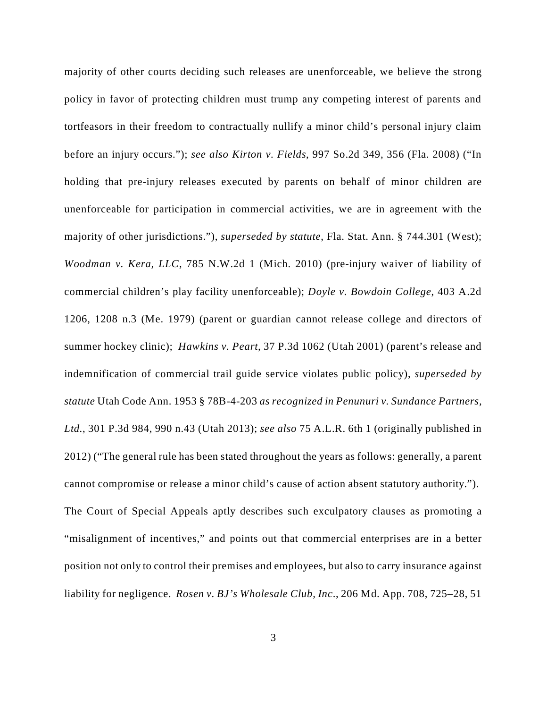majority of other courts deciding such releases are unenforceable, we believe the strong policy in favor of protecting children must trump any competing interest of parents and tortfeasors in their freedom to contractually nullify a minor child's personal injury claim before an injury occurs."); *see also Kirton v. Fields*, 997 So.2d 349, 356 (Fla. 2008) ("In holding that pre-injury releases executed by parents on behalf of minor children are unenforceable for participation in commercial activities, we are in agreement with the majority of other jurisdictions."), *superseded by statute*, Fla. Stat. Ann. § 744.301 (West); *Woodman v. Kera, LLC,* 785 N.W.2d 1 (Mich. 2010) (pre-injury waiver of liability of commercial children's play facility unenforceable); *Doyle v. Bowdoin College*, 403 A.2d 1206, 1208 n.3 (Me. 1979) (parent or guardian cannot release college and directors of summer hockey clinic); *Hawkins v. Peart,* 37 P.3d 1062 (Utah 2001) (parent's release and indemnification of commercial trail guide service violates public policy), *superseded by statute* Utah Code Ann. 1953 § 78B-4-203 *as recognized in Penunuri v. Sundance Partners, Ltd.*, 301 P.3d 984, 990 n.43 (Utah 2013); *see also* 75 A.L.R. 6th 1 (originally published in 2012) ("The general rule has been stated throughout the years as follows: generally, a parent cannot compromise or release a minor child's cause of action absent statutory authority."). The Court of Special Appeals aptly describes such exculpatory clauses as promoting a "misalignment of incentives," and points out that commercial enterprises are in a better position not only to control their premises and employees, but also to carry insurance against liability for negligence. *Rosen v. BJ's Wholesale Club, Inc*., 206 Md. App. 708, 725–28, 51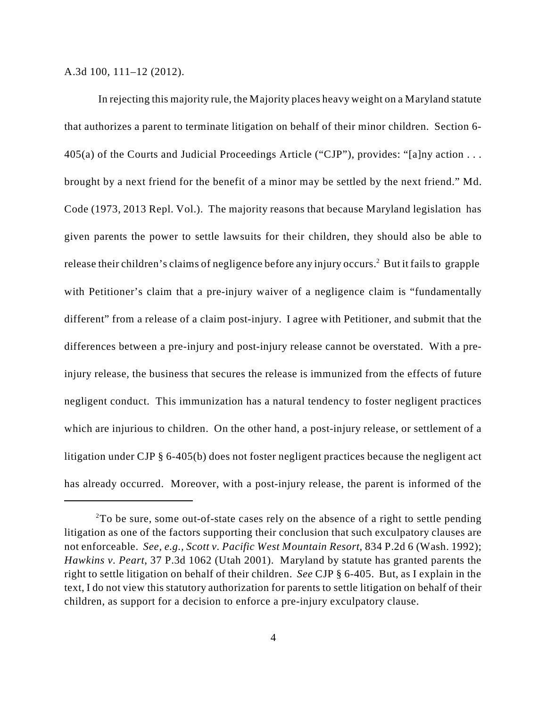A.3d 100, 111–12 (2012).

 In rejecting this majority rule, the Majority places heavy weight on a Maryland statute that authorizes a parent to terminate litigation on behalf of their minor children. Section 6- 405(a) of the Courts and Judicial Proceedings Article ("CJP"), provides: "[a]ny action . . . brought by a next friend for the benefit of a minor may be settled by the next friend." Md. Code (1973, 2013 Repl. Vol.). The majority reasons that because Maryland legislation has given parents the power to settle lawsuits for their children, they should also be able to release their children's claims of negligence before any injury occurs.<sup>2</sup> But it fails to grapple with Petitioner's claim that a pre-injury waiver of a negligence claim is "fundamentally different" from a release of a claim post-injury. I agree with Petitioner, and submit that the differences between a pre-injury and post-injury release cannot be overstated. With a preinjury release, the business that secures the release is immunized from the effects of future negligent conduct. This immunization has a natural tendency to foster negligent practices which are injurious to children. On the other hand, a post-injury release, or settlement of a litigation under CJP § 6-405(b) does not foster negligent practices because the negligent act has already occurred. Moreover, with a post-injury release, the parent is informed of the

<sup>&</sup>lt;sup>2</sup>To be sure, some out-of-state cases rely on the absence of a right to settle pending litigation as one of the factors supporting their conclusion that such exculpatory clauses are not enforceable. *See, e.g., Scott v. Pacific West Mountain Resort*, 834 P.2d 6 (Wash. 1992); *Hawkins v. Peart*, 37 P.3d 1062 (Utah 2001). Maryland by statute has granted parents the right to settle litigation on behalf of their children. *See* CJP § 6-405. But, as I explain in the text, I do not view this statutory authorization for parents to settle litigation on behalf of their children, as support for a decision to enforce a pre-injury exculpatory clause.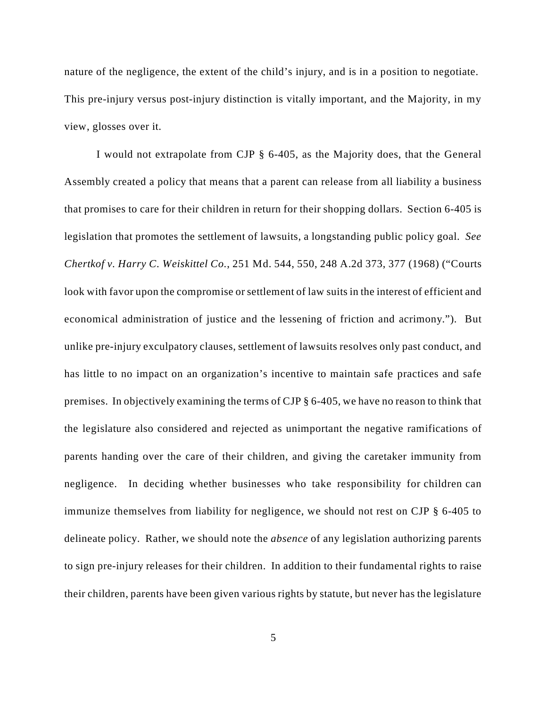nature of the negligence, the extent of the child's injury, and is in a position to negotiate. This pre-injury versus post-injury distinction is vitally important, and the Majority, in my view, glosses over it.

I would not extrapolate from CJP § 6-405, as the Majority does, that the General Assembly created a policy that means that a parent can release from all liability a business that promises to care for their children in return for their shopping dollars. Section 6-405 is legislation that promotes the settlement of lawsuits, a longstanding public policy goal. *See Chertkof v. Harry C. Weiskittel Co.*, 251 Md. 544, 550, 248 A.2d 373, 377 (1968) ("Courts look with favor upon the compromise or settlement of law suits in the interest of efficient and economical administration of justice and the lessening of friction and acrimony."). But unlike pre-injury exculpatory clauses, settlement of lawsuits resolves only past conduct, and has little to no impact on an organization's incentive to maintain safe practices and safe premises. In objectively examining the terms of CJP § 6-405, we have no reason to think that the legislature also considered and rejected as unimportant the negative ramifications of parents handing over the care of their children, and giving the caretaker immunity from negligence. In deciding whether businesses who take responsibility for children can immunize themselves from liability for negligence, we should not rest on CJP § 6-405 to delineate policy. Rather, we should note the *absence* of any legislation authorizing parents to sign pre-injury releases for their children. In addition to their fundamental rights to raise their children, parents have been given various rights by statute, but never has the legislature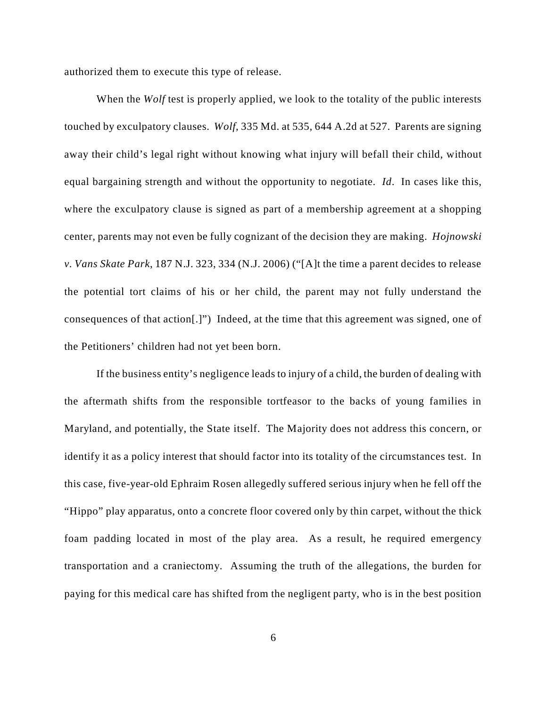authorized them to execute this type of release.

When the *Wolf* test is properly applied, we look to the totality of the public interests touched by exculpatory clauses. *Wolf*, 335 Md. at 535, 644 A.2d at 527. Parents are signing away their child's legal right without knowing what injury will befall their child, without equal bargaining strength and without the opportunity to negotiate. *Id*. In cases like this, where the exculpatory clause is signed as part of a membership agreement at a shopping center, parents may not even be fully cognizant of the decision they are making. *Hojnowski v. Vans Skate Park*, 187 N.J. 323, 334 (N.J. 2006) ("[A]t the time a parent decides to release the potential tort claims of his or her child, the parent may not fully understand the consequences of that action[.]") Indeed, at the time that this agreement was signed, one of the Petitioners' children had not yet been born.

If the business entity's negligence leads to injury of a child, the burden of dealing with the aftermath shifts from the responsible tortfeasor to the backs of young families in Maryland, and potentially, the State itself. The Majority does not address this concern, or identify it as a policy interest that should factor into its totality of the circumstances test. In this case, five-year-old Ephraim Rosen allegedly suffered serious injury when he fell off the "Hippo" play apparatus, onto a concrete floor covered only by thin carpet, without the thick foam padding located in most of the play area. As a result, he required emergency transportation and a craniectomy. Assuming the truth of the allegations, the burden for paying for this medical care has shifted from the negligent party, who is in the best position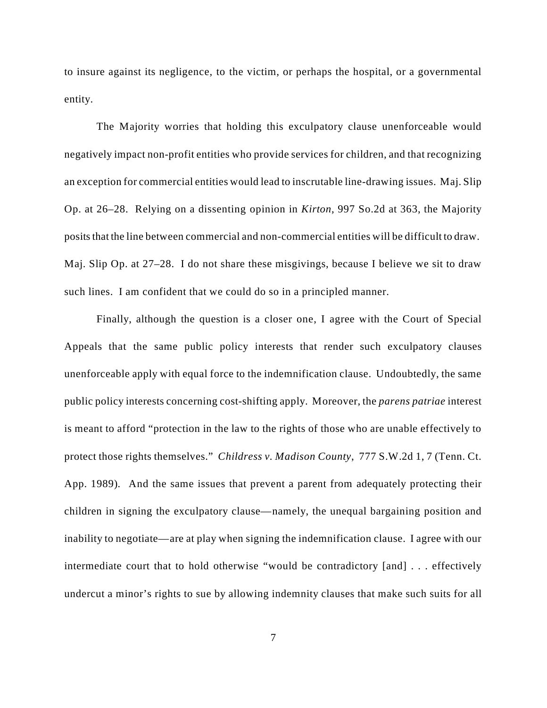to insure against its negligence, to the victim, or perhaps the hospital, or a governmental entity.

The Majority worries that holding this exculpatory clause unenforceable would negatively impact non-profit entities who provide services for children, and that recognizing an exception for commercial entities would lead to inscrutable line-drawing issues. Maj. Slip Op. at 26–28. Relying on a dissenting opinion in *Kirton*, 997 So.2d at 363, the Majority posits that the line between commercial and non-commercial entities will be difficult to draw. Maj. Slip Op. at 27–28. I do not share these misgivings, because I believe we sit to draw such lines. I am confident that we could do so in a principled manner.

Finally, although the question is a closer one, I agree with the Court of Special Appeals that the same public policy interests that render such exculpatory clauses unenforceable apply with equal force to the indemnification clause. Undoubtedly, the same public policy interests concerning cost-shifting apply. Moreover, the *parens patriae* interest is meant to afford "protection in the law to the rights of those who are unable effectively to protect those rights themselves." *Childress v. Madison County*, 777 S.W.2d 1, 7 (Tenn. Ct. App. 1989)*.* And the same issues that prevent a parent from adequately protecting their children in signing the exculpatory clause—namely, the unequal bargaining position and inability to negotiate—are at play when signing the indemnification clause. I agree with our intermediate court that to hold otherwise "would be contradictory [and] . . . effectively undercut a minor's rights to sue by allowing indemnity clauses that make such suits for all